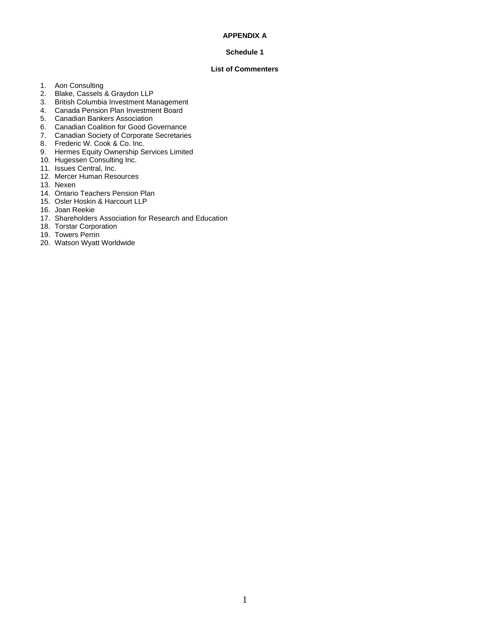### **APPENDIX A**

### **Schedule 1**

### **List of Commenters**

- 1. Aon Consulting
- 2. Blake, Cassels & Graydon LLP
- 3. British Columbia Investment Management
- 4. Canada Pension Plan Investment Board
- 5. Canadian Bankers Association
- 6. Canadian Coalition for Good Governance
- 7. Canadian Society of Corporate Secretaries
- 8. Frederic W. Cook & Co. Inc.
- 9. Hermes Equity Ownership Services Limited
- 10. Hugessen Consulting Inc.
- 11. Issues Central, Inc.
- 12. Mercer Human Resources
- 13. Nexen
- 14. Ontario Teachers Pension Plan
- 15. Osler Hoskin & Harcourt LLP
- 16. Joan Reekie
- 17. Shareholders Association for Research and Education
- 18. Torstar Corporation
- 19. Towers Perrin
- 20. Watson Wyatt Worldwide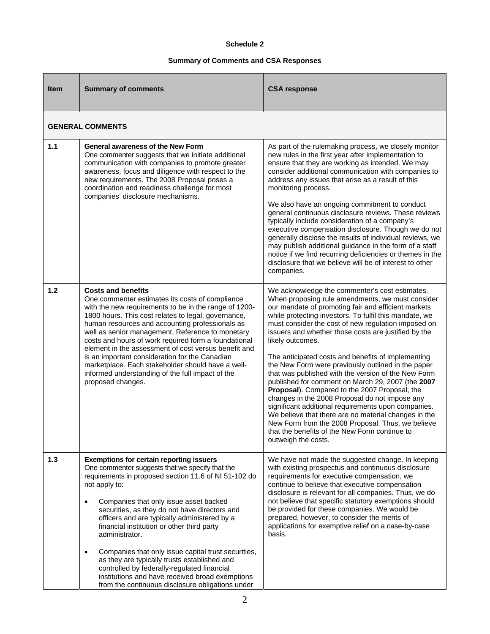## **Schedule 2**

## **Summary of Comments and CSA Responses**

| <b>Item</b> | <b>Summary of comments</b>                                                                                                                                                                                                                                                                                                                                                                                                                                                                                                                                                                                                                                                     | <b>CSA response</b>                                                                                                                                                                                                                                                                                                                                                                                                                                                                                                                                                                                                                                                                                                                                                                                                                                                                                                           |
|-------------|--------------------------------------------------------------------------------------------------------------------------------------------------------------------------------------------------------------------------------------------------------------------------------------------------------------------------------------------------------------------------------------------------------------------------------------------------------------------------------------------------------------------------------------------------------------------------------------------------------------------------------------------------------------------------------|-------------------------------------------------------------------------------------------------------------------------------------------------------------------------------------------------------------------------------------------------------------------------------------------------------------------------------------------------------------------------------------------------------------------------------------------------------------------------------------------------------------------------------------------------------------------------------------------------------------------------------------------------------------------------------------------------------------------------------------------------------------------------------------------------------------------------------------------------------------------------------------------------------------------------------|
|             | <b>GENERAL COMMENTS</b>                                                                                                                                                                                                                                                                                                                                                                                                                                                                                                                                                                                                                                                        |                                                                                                                                                                                                                                                                                                                                                                                                                                                                                                                                                                                                                                                                                                                                                                                                                                                                                                                               |
| 1.1         | <b>General awareness of the New Form</b><br>One commenter suggests that we initiate additional<br>communication with companies to promote greater<br>awareness, focus and diligence with respect to the<br>new requirements. The 2008 Proposal poses a<br>coordination and readiness challenge for most<br>companies' disclosure mechanisms.                                                                                                                                                                                                                                                                                                                                   | As part of the rulemaking process, we closely monitor<br>new rules in the first year after implementation to<br>ensure that they are working as intended. We may<br>consider additional communication with companies to<br>address any issues that arise as a result of this<br>monitoring process.<br>We also have an ongoing commitment to conduct<br>general continuous disclosure reviews. These reviews<br>typically include consideration of a company's<br>executive compensation disclosure. Though we do not<br>generally disclose the results of individual reviews, we<br>may publish additional guidance in the form of a staff<br>notice if we find recurring deficiencies or themes in the<br>disclosure that we believe will be of interest to other<br>companies.                                                                                                                                             |
| 1.2         | <b>Costs and benefits</b><br>One commenter estimates its costs of compliance<br>with the new requirements to be in the range of 1200-<br>1800 hours. This cost relates to legal, governance,<br>human resources and accounting professionals as<br>well as senior management. Reference to monetary<br>costs and hours of work required form a foundational<br>element in the assessment of cost versus benefit and<br>is an important consideration for the Canadian<br>marketplace. Each stakeholder should have a well-<br>informed understanding of the full impact of the<br>proposed changes.                                                                            | We acknowledge the commenter's cost estimates.<br>When proposing rule amendments, we must consider<br>our mandate of promoting fair and efficient markets<br>while protecting investors. To fulfil this mandate, we<br>must consider the cost of new regulation imposed on<br>issuers and whether those costs are justified by the<br>likely outcomes.<br>The anticipated costs and benefits of implementing<br>the New Form were previously outlined in the paper<br>that was published with the version of the New Form<br>published for comment on March 29, 2007 (the 2007<br>Proposal). Compared to the 2007 Proposal, the<br>changes in the 2008 Proposal do not impose any<br>significant additional requirements upon companies.<br>We believe that there are no material changes in the<br>New Form from the 2008 Proposal. Thus, we believe<br>that the benefits of the New Form continue to<br>outweigh the costs. |
| 1.3         | <b>Exemptions for certain reporting issuers</b><br>One commenter suggests that we specify that the<br>requirements in proposed section 11.6 of NI 51-102 do<br>not apply to:<br>Companies that only issue asset backed<br>$\bullet$<br>securities, as they do not have directors and<br>officers and are typically administered by a<br>financial institution or other third party<br>administrator.<br>Companies that only issue capital trust securities,<br>$\bullet$<br>as they are typically trusts established and<br>controlled by federally-regulated financial<br>institutions and have received broad exemptions<br>from the continuous disclosure obligations under | We have not made the suggested change. In keeping<br>with existing prospectus and continuous disclosure<br>requirements for executive compensation, we<br>continue to believe that executive compensation<br>disclosure is relevant for all companies. Thus, we do<br>not believe that specific statutory exemptions should<br>be provided for these companies. We would be<br>prepared, however, to consider the merits of<br>applications for exemptive relief on a case-by-case<br>basis.                                                                                                                                                                                                                                                                                                                                                                                                                                  |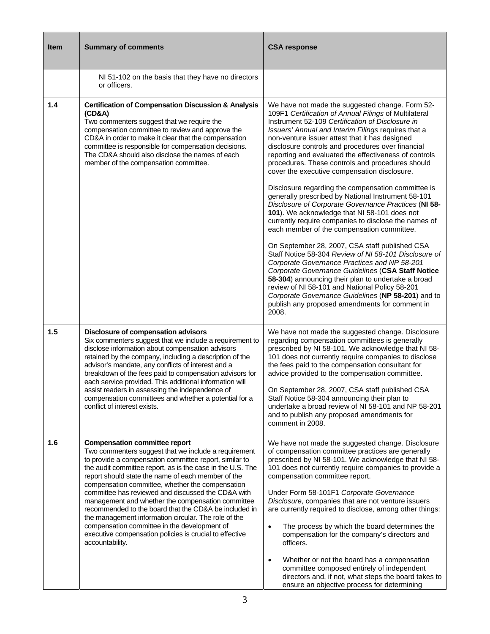| <b>Item</b> | <b>Summary of comments</b>                                                                                                                                                                                                                                                                                                                                                                                                                                                                                                                                                                                                                                                               | <b>CSA response</b>                                                                                                                                                                                                                                                                                                                                                                                                                                                                                                                                                                                                                                                                                                                                                                                                                                                                                                                                                                                                                                                                                                                       |
|-------------|------------------------------------------------------------------------------------------------------------------------------------------------------------------------------------------------------------------------------------------------------------------------------------------------------------------------------------------------------------------------------------------------------------------------------------------------------------------------------------------------------------------------------------------------------------------------------------------------------------------------------------------------------------------------------------------|-------------------------------------------------------------------------------------------------------------------------------------------------------------------------------------------------------------------------------------------------------------------------------------------------------------------------------------------------------------------------------------------------------------------------------------------------------------------------------------------------------------------------------------------------------------------------------------------------------------------------------------------------------------------------------------------------------------------------------------------------------------------------------------------------------------------------------------------------------------------------------------------------------------------------------------------------------------------------------------------------------------------------------------------------------------------------------------------------------------------------------------------|
|             | NI 51-102 on the basis that they have no directors<br>or officers.                                                                                                                                                                                                                                                                                                                                                                                                                                                                                                                                                                                                                       |                                                                                                                                                                                                                                                                                                                                                                                                                                                                                                                                                                                                                                                                                                                                                                                                                                                                                                                                                                                                                                                                                                                                           |
| 1.4         | <b>Certification of Compensation Discussion &amp; Analysis</b><br>(CD&A)<br>Two commenters suggest that we require the<br>compensation committee to review and approve the<br>CD&A in order to make it clear that the compensation<br>committee is responsible for compensation decisions.<br>The CD&A should also disclose the names of each<br>member of the compensation committee.                                                                                                                                                                                                                                                                                                   | We have not made the suggested change. Form 52-<br>109F1 Certification of Annual Filings of Multilateral<br>Instrument 52-109 Certification of Disclosure in<br>Issuers' Annual and Interim Filings requires that a<br>non-venture issuer attest that it has designed<br>disclosure controls and procedures over financial<br>reporting and evaluated the effectiveness of controls<br>procedures. These controls and procedures should<br>cover the executive compensation disclosure.<br>Disclosure regarding the compensation committee is<br>generally prescribed by National Instrument 58-101<br>Disclosure of Corporate Governance Practices (NI 58-<br>101). We acknowledge that NI 58-101 does not<br>currently require companies to disclose the names of<br>each member of the compensation committee.<br>On September 28, 2007, CSA staff published CSA<br>Staff Notice 58-304 Review of NI 58-101 Disclosure of<br>Corporate Governance Practices and NP 58-201<br>Corporate Governance Guidelines (CSA Staff Notice<br>58-304) announcing their plan to undertake a broad<br>review of NI 58-101 and National Policy 58-201 |
|             |                                                                                                                                                                                                                                                                                                                                                                                                                                                                                                                                                                                                                                                                                          | Corporate Governance Guidelines (NP 58-201) and to<br>publish any proposed amendments for comment in<br>2008.                                                                                                                                                                                                                                                                                                                                                                                                                                                                                                                                                                                                                                                                                                                                                                                                                                                                                                                                                                                                                             |
| 1.5         | Disclosure of compensation advisors<br>Six commenters suggest that we include a requirement to<br>disclose information about compensation advisors<br>retained by the company, including a description of the<br>advisor's mandate, any conflicts of interest and a<br>breakdown of the fees paid to compensation advisors for<br>each service provided. This additional information will<br>assist readers in assessing the independence of<br>compensation committees and whether a potential for a<br>conflict of interest exists.                                                                                                                                                    | We have not made the suggested change. Disclosure<br>regarding compensation committees is generally<br>prescribed by NI 58-101. We acknowledge that NI 58-<br>101 does not currently require companies to disclose<br>the fees paid to the compensation consultant for<br>advice provided to the compensation committee.<br>On September 28, 2007, CSA staff published CSA<br>Staff Notice 58-304 announcing their plan to<br>undertake a broad review of NI 58-101 and NP 58-201<br>and to publish any proposed amendments for<br>comment in 2008.                                                                                                                                                                                                                                                                                                                                                                                                                                                                                                                                                                                       |
| 1.6         | <b>Compensation committee report</b><br>Two commenters suggest that we include a requirement<br>to provide a compensation committee report, similar to<br>the audit committee report, as is the case in the U.S. The<br>report should state the name of each member of the<br>compensation committee, whether the compensation<br>committee has reviewed and discussed the CD&A with<br>management and whether the compensation committee<br>recommended to the board that the CD&A be included in<br>the management information circular. The role of the<br>compensation committee in the development of<br>executive compensation policies is crucial to effective<br>accountability. | We have not made the suggested change. Disclosure<br>of compensation committee practices are generally<br>prescribed by NI 58-101. We acknowledge that NI 58-<br>101 does not currently require companies to provide a<br>compensation committee report.<br>Under Form 58-101F1 Corporate Governance<br>Disclosure, companies that are not venture issuers<br>are currently required to disclose, among other things:<br>The process by which the board determines the<br>$\bullet$<br>compensation for the company's directors and<br>officers.<br>Whether or not the board has a compensation<br>$\bullet$<br>committee composed entirely of independent<br>directors and, if not, what steps the board takes to<br>ensure an objective process for determining                                                                                                                                                                                                                                                                                                                                                                         |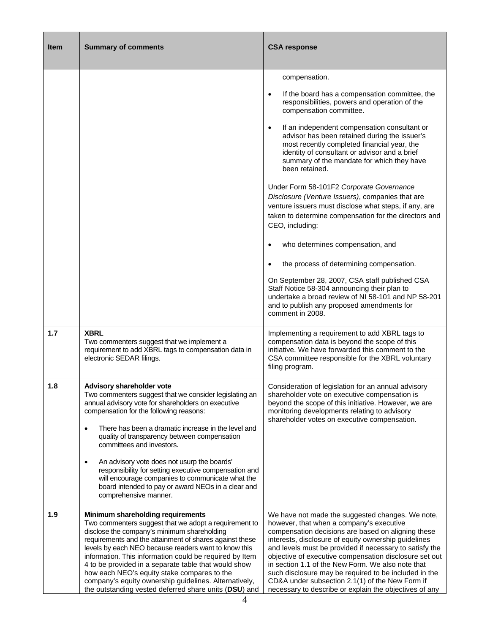| <b>Item</b> | <b>Summary of comments</b>                                                                                                                                                                                                                                                                                                                                                                                                                                                                                                                       | <b>CSA response</b>                                                                                                                                                                                                                                                                                                                                                                                                                                                                                                                                        |
|-------------|--------------------------------------------------------------------------------------------------------------------------------------------------------------------------------------------------------------------------------------------------------------------------------------------------------------------------------------------------------------------------------------------------------------------------------------------------------------------------------------------------------------------------------------------------|------------------------------------------------------------------------------------------------------------------------------------------------------------------------------------------------------------------------------------------------------------------------------------------------------------------------------------------------------------------------------------------------------------------------------------------------------------------------------------------------------------------------------------------------------------|
|             |                                                                                                                                                                                                                                                                                                                                                                                                                                                                                                                                                  | compensation.<br>If the board has a compensation committee, the<br>$\bullet$<br>responsibilities, powers and operation of the<br>compensation committee.                                                                                                                                                                                                                                                                                                                                                                                                   |
|             |                                                                                                                                                                                                                                                                                                                                                                                                                                                                                                                                                  | If an independent compensation consultant or<br>$\bullet$<br>advisor has been retained during the issuer's<br>most recently completed financial year, the<br>identity of consultant or advisor and a brief<br>summary of the mandate for which they have<br>been retained.                                                                                                                                                                                                                                                                                 |
|             |                                                                                                                                                                                                                                                                                                                                                                                                                                                                                                                                                  | Under Form 58-101F2 Corporate Governance<br>Disclosure (Venture Issuers), companies that are<br>venture issuers must disclose what steps, if any, are<br>taken to determine compensation for the directors and<br>CEO, including:                                                                                                                                                                                                                                                                                                                          |
|             |                                                                                                                                                                                                                                                                                                                                                                                                                                                                                                                                                  | who determines compensation, and                                                                                                                                                                                                                                                                                                                                                                                                                                                                                                                           |
|             |                                                                                                                                                                                                                                                                                                                                                                                                                                                                                                                                                  | the process of determining compensation.<br>On September 28, 2007, CSA staff published CSA<br>Staff Notice 58-304 announcing their plan to<br>undertake a broad review of NI 58-101 and NP 58-201<br>and to publish any proposed amendments for<br>comment in 2008.                                                                                                                                                                                                                                                                                        |
| 1.7         | <b>XBRL</b><br>Two commenters suggest that we implement a<br>requirement to add XBRL tags to compensation data in<br>electronic SEDAR filings.                                                                                                                                                                                                                                                                                                                                                                                                   | Implementing a requirement to add XBRL tags to<br>compensation data is beyond the scope of this<br>initiative. We have forwarded this comment to the<br>CSA committee responsible for the XBRL voluntary<br>filing program.                                                                                                                                                                                                                                                                                                                                |
| 1.8         | Advisory shareholder vote<br>I wo commenters suggest that we consider legislating an<br>annual advisory vote for shareholders on executive<br>compensation for the following reasons:<br>There has been a dramatic increase in the level and<br>$\bullet$<br>quality of transparency between compensation<br>committees and investors.                                                                                                                                                                                                           | Consideration of legislation for an annual advisory<br>shareholder vote on executive compensation is<br>beyond the scope of this initiative. However, we are<br>monitoring developments relating to advisory<br>shareholder votes on executive compensation.                                                                                                                                                                                                                                                                                               |
|             | An advisory vote does not usurp the boards'<br>$\bullet$<br>responsibility for setting executive compensation and<br>will encourage companies to communicate what the<br>board intended to pay or award NEOs in a clear and<br>comprehensive manner.                                                                                                                                                                                                                                                                                             |                                                                                                                                                                                                                                                                                                                                                                                                                                                                                                                                                            |
| 1.9         | Minimum shareholding requirements<br>Two commenters suggest that we adopt a requirement to<br>disclose the company's minimum shareholding<br>requirements and the attainment of shares against these<br>levels by each NEO because readers want to know this<br>information. This information could be required by Item<br>4 to be provided in a separate table that would show<br>how each NEO's equity stake compares to the<br>company's equity ownership guidelines. Alternatively,<br>the outstanding vested deferred share units (DSU) and | We have not made the suggested changes. We note,<br>however, that when a company's executive<br>compensation decisions are based on aligning these<br>interests, disclosure of equity ownership guidelines<br>and levels must be provided if necessary to satisfy the<br>objective of executive compensation disclosure set out<br>in section 1.1 of the New Form. We also note that<br>such disclosure may be required to be included in the<br>CD&A under subsection 2.1(1) of the New Form if<br>necessary to describe or explain the objectives of any |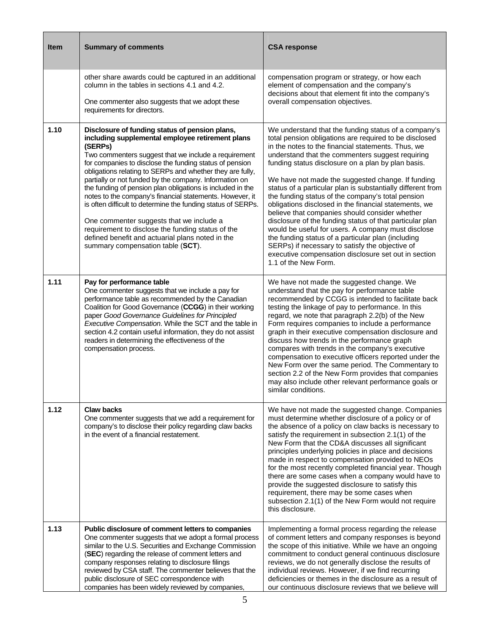| <b>Item</b> | <b>Summary of comments</b>                                                                                                                                                                                                                                                                                                                                                                                                                                                                                                                                                                                                                                                                                                                  | <b>CSA response</b>                                                                                                                                                                                                                                                                                                                                                                                                                                                                                                                                                                                                                                                                                                                                                                                                                                                           |
|-------------|---------------------------------------------------------------------------------------------------------------------------------------------------------------------------------------------------------------------------------------------------------------------------------------------------------------------------------------------------------------------------------------------------------------------------------------------------------------------------------------------------------------------------------------------------------------------------------------------------------------------------------------------------------------------------------------------------------------------------------------------|-------------------------------------------------------------------------------------------------------------------------------------------------------------------------------------------------------------------------------------------------------------------------------------------------------------------------------------------------------------------------------------------------------------------------------------------------------------------------------------------------------------------------------------------------------------------------------------------------------------------------------------------------------------------------------------------------------------------------------------------------------------------------------------------------------------------------------------------------------------------------------|
|             | other share awards could be captured in an additional<br>column in the tables in sections 4.1 and 4.2.<br>One commenter also suggests that we adopt these<br>requirements for directors.                                                                                                                                                                                                                                                                                                                                                                                                                                                                                                                                                    | compensation program or strategy, or how each<br>element of compensation and the company's<br>decisions about that element fit into the company's<br>overall compensation objectives.                                                                                                                                                                                                                                                                                                                                                                                                                                                                                                                                                                                                                                                                                         |
| 1.10        | Disclosure of funding status of pension plans,<br>including supplemental employee retirement plans<br>(SERPs)<br>Two commenters suggest that we include a requirement<br>for companies to disclose the funding status of pension<br>obligations relating to SERPs and whether they are fully,<br>partially or not funded by the company. Information on<br>the funding of pension plan obligations is included in the<br>notes to the company's financial statements. However, it<br>is often difficult to determine the funding status of SERPs.<br>One commenter suggests that we include a<br>requirement to disclose the funding status of the<br>defined benefit and actuarial plans noted in the<br>summary compensation table (SCT). | We understand that the funding status of a company's<br>total pension obligations are required to be disclosed<br>in the notes to the financial statements. Thus, we<br>understand that the commenters suggest requiring<br>funding status disclosure on a plan by plan basis.<br>We have not made the suggested change. If funding<br>status of a particular plan is substantially different from<br>the funding status of the company's total pension<br>obligations disclosed in the financial statements, we<br>believe that companies should consider whether<br>disclosure of the funding status of that particular plan<br>would be useful for users. A company must disclose<br>the funding status of a particular plan (including<br>SERPs) if necessary to satisfy the objective of<br>executive compensation disclosure set out in section<br>1.1 of the New Form. |
| 1.11        | Pay for performance table<br>One commenter suggests that we include a pay for<br>performance table as recommended by the Canadian<br>Coalition for Good Governance (CCGG) in their working<br>paper Good Governance Guidelines for Principled<br>Executive Compensation. While the SCT and the table in<br>section 4.2 contain useful information, they do not assist<br>readers in determining the effectiveness of the<br>compensation process.                                                                                                                                                                                                                                                                                           | We have not made the suggested change. We<br>understand that the pay for performance table<br>recommended by CCGG is intended to facilitate back<br>testing the linkage of pay to performance. In this<br>regard, we note that paragraph 2.2(b) of the New<br>Form requires companies to include a performance<br>graph in their executive compensation disclosure and<br>discuss how trends in the performance graph<br>compares with trends in the company's executive<br>compensation to executive officers reported under the<br>New Form over the same period. The Commentary to<br>section 2.2 of the New Form provides that companies<br>may also include other relevant performance goals or<br>similar conditions.                                                                                                                                                   |
| 1.12        | <b>Claw backs</b><br>One commenter suggests that we add a requirement for<br>company's to disclose their policy regarding claw backs<br>in the event of a financial restatement.                                                                                                                                                                                                                                                                                                                                                                                                                                                                                                                                                            | We have not made the suggested change. Companies<br>must determine whether disclosure of a policy or of<br>the absence of a policy on claw backs is necessary to<br>satisfy the requirement in subsection 2.1(1) of the<br>New Form that the CD&A discusses all significant<br>principles underlying policies in place and decisions<br>made in respect to compensation provided to NEOs<br>for the most recently completed financial year. Though<br>there are some cases when a company would have to<br>provide the suggested disclosure to satisfy this<br>requirement, there may be some cases when<br>subsection 2.1(1) of the New Form would not require<br>this disclosure.                                                                                                                                                                                           |
| 1.13        | Public disclosure of comment letters to companies<br>One commenter suggests that we adopt a formal process<br>similar to the U.S. Securities and Exchange Commission<br>(SEC) regarding the release of comment letters and<br>company responses relating to disclosure filings<br>reviewed by CSA staff. The commenter believes that the<br>public disclosure of SEC correspondence with<br>companies has been widely reviewed by companies,                                                                                                                                                                                                                                                                                                | Implementing a formal process regarding the release<br>of comment letters and company responses is beyond<br>the scope of this initiative. While we have an ongoing<br>commitment to conduct general continuous disclosure<br>reviews, we do not generally disclose the results of<br>individual reviews. However, if we find recurring<br>deficiencies or themes in the disclosure as a result of<br>our continuous disclosure reviews that we believe will                                                                                                                                                                                                                                                                                                                                                                                                                  |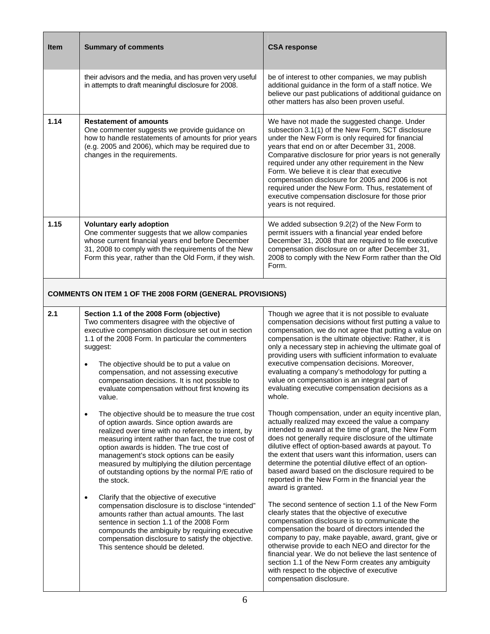| <b>Item</b> | <b>Summary of comments</b>                                                                                                                                                                                                                               | <b>CSA response</b>                                                                                                                                                                                                                                                                                                                                                                                                                                                                                                                                          |
|-------------|----------------------------------------------------------------------------------------------------------------------------------------------------------------------------------------------------------------------------------------------------------|--------------------------------------------------------------------------------------------------------------------------------------------------------------------------------------------------------------------------------------------------------------------------------------------------------------------------------------------------------------------------------------------------------------------------------------------------------------------------------------------------------------------------------------------------------------|
|             | their advisors and the media, and has proven very useful<br>in attempts to draft meaningful disclosure for 2008.                                                                                                                                         | be of interest to other companies, we may publish<br>additional guidance in the form of a staff notice. We<br>believe our past publications of additional guidance on<br>other matters has also been proven useful.                                                                                                                                                                                                                                                                                                                                          |
| 1.14        | <b>Restatement of amounts</b><br>One commenter suggests we provide guidance on<br>how to handle restatements of amounts for prior years<br>(e.g. 2005 and 2006), which may be required due to<br>changes in the requirements.                            | We have not made the suggested change. Under<br>subsection 3.1(1) of the New Form, SCT disclosure<br>under the New Form is only required for financial<br>years that end on or after December 31, 2008.<br>Comparative disclosure for prior years is not generally<br>required under any other requirement in the New<br>Form. We believe it is clear that executive<br>compensation disclosure for 2005 and 2006 is not<br>required under the New Form. Thus, restatement of<br>executive compensation disclosure for those prior<br>years is not required. |
| 1.15        | <b>Voluntary early adoption</b><br>One commenter suggests that we allow companies<br>whose current financial years end before December<br>31, 2008 to comply with the requirements of the New<br>Form this year, rather than the Old Form, if they wish. | We added subsection 9.2(2) of the New Form to<br>permit issuers with a financial year ended before<br>December 31, 2008 that are required to file executive<br>compensation disclosure on or after December 31,<br>2008 to comply with the New Form rather than the Old<br>Form.                                                                                                                                                                                                                                                                             |

# **COMMENTS ON ITEM 1 OF THE 2008 FORM (GENERAL PROVISIONS)**

| 2.1 | Section 1.1 of the 2008 Form (objective)                                                                   |
|-----|------------------------------------------------------------------------------------------------------------|
|     | Two commenters disagree with the objective of                                                              |
|     | executive compensation disclosure set out in section<br>1.1 of the 2008 Form. In particular the commenters |
|     | suggest:                                                                                                   |

- The objective should be to put a value on compensation, and not assessing executive compensation decisions. It is not possible to evaluate compensation without first knowing its value.
- The objective should be to measure the true cost of option awards. Since option awards are realized over time with no reference to intent, by measuring intent rather than fact, the true cost of option awards is hidden. The true cost of management's stock options can be easily measured by multiplying the dilution percentage of outstanding options by the normal P/E ratio of the stock.
- Clarify that the objective of executive compensation disclosure is to disclose "intended" amounts rather than actual amounts. The last sentence in section 1.1 of the 2008 Form compounds the ambiguity by requiring executive compensation disclosure to satisfy the objective. This sentence should be deleted.

Though we agree that it is not possible to evaluate compensation decisions without first putting a value to compensation, we do not agree that putting a value on compensation is the ultimate objective: Rather, it is only a necessary step in achieving the ultimate goal of providing users with sufficient information to evaluate executive compensation decisions. Moreover, evaluating a company's methodology for putting a value on compensation is an integral part of evaluating executive compensation decisions as a whole.

Though compensation, under an equity incentive plan, actually realized may exceed the value a company intended to award at the time of grant, the New Form does not generally require disclosure of the ultimate dilutive effect of option-based awards at payout. To the extent that users want this information, users can determine the potential dilutive effect of an optionbased award based on the disclosure required to be reported in the New Form in the financial year the award is granted.

The second sentence of section 1.1 of the New Form clearly states that the objective of executive compensation disclosure is to communicate the compensation the board of directors intended the company to pay, make payable, award, grant, give or otherwise provide to each NEO and director for the financial year. We do not believe the last sentence of section 1.1 of the New Form creates any ambiguity with respect to the objective of executive compensation disclosure.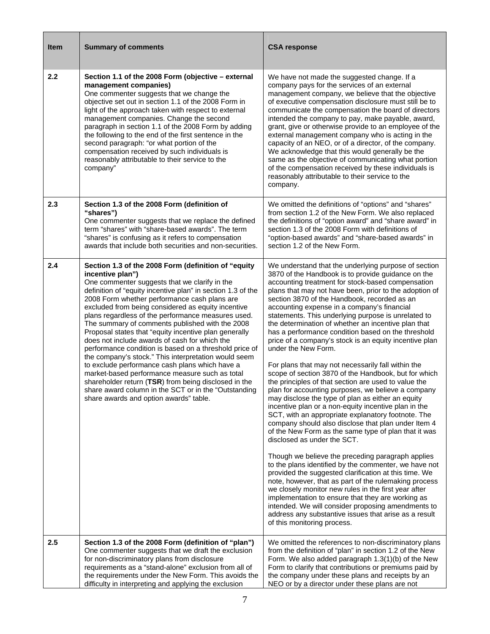| <b>Item</b> | <b>Summary of comments</b>                                                                                                                                                                                                                                                                                                                                                                                                                                                                                                                                                                                                                                                                                                                                                                                                                                                                       | <b>CSA response</b>                                                                                                                                                                                                                                                                                                                                                                                                                                                                                                                                                                                                                                                                                                                                                                                                                                                                                                                                                                                                                                                                                                                                                                                                                                                                                                                                                                                                                                                                                                                                                                                                   |
|-------------|--------------------------------------------------------------------------------------------------------------------------------------------------------------------------------------------------------------------------------------------------------------------------------------------------------------------------------------------------------------------------------------------------------------------------------------------------------------------------------------------------------------------------------------------------------------------------------------------------------------------------------------------------------------------------------------------------------------------------------------------------------------------------------------------------------------------------------------------------------------------------------------------------|-----------------------------------------------------------------------------------------------------------------------------------------------------------------------------------------------------------------------------------------------------------------------------------------------------------------------------------------------------------------------------------------------------------------------------------------------------------------------------------------------------------------------------------------------------------------------------------------------------------------------------------------------------------------------------------------------------------------------------------------------------------------------------------------------------------------------------------------------------------------------------------------------------------------------------------------------------------------------------------------------------------------------------------------------------------------------------------------------------------------------------------------------------------------------------------------------------------------------------------------------------------------------------------------------------------------------------------------------------------------------------------------------------------------------------------------------------------------------------------------------------------------------------------------------------------------------------------------------------------------------|
| 2.2         | Section 1.1 of the 2008 Form (objective - external<br>management companies)<br>One commenter suggests that we change the<br>objective set out in section 1.1 of the 2008 Form in<br>light of the approach taken with respect to external<br>management companies. Change the second<br>paragraph in section 1.1 of the 2008 Form by adding<br>the following to the end of the first sentence in the<br>second paragraph: "or what portion of the<br>compensation received by such individuals is<br>reasonably attributable to their service to the<br>company"                                                                                                                                                                                                                                                                                                                                  | We have not made the suggested change. If a<br>company pays for the services of an external<br>management company, we believe that the objective<br>of executive compensation disclosure must still be to<br>communicate the compensation the board of directors<br>intended the company to pay, make payable, award,<br>grant, give or otherwise provide to an employee of the<br>external management company who is acting in the<br>capacity of an NEO, or of a director, of the company.<br>We acknowledge that this would generally be the<br>same as the objective of communicating what portion<br>of the compensation received by these individuals is<br>reasonably attributable to their service to the<br>company.                                                                                                                                                                                                                                                                                                                                                                                                                                                                                                                                                                                                                                                                                                                                                                                                                                                                                         |
| 2.3         | Section 1.3 of the 2008 Form (definition of<br>"shares")<br>One commenter suggests that we replace the defined<br>term "shares" with "share-based awards". The term<br>"shares" is confusing as it refers to compensation<br>awards that include both securities and non-securities.                                                                                                                                                                                                                                                                                                                                                                                                                                                                                                                                                                                                             | We omitted the definitions of "options" and "shares"<br>from section 1.2 of the New Form. We also replaced<br>the definitions of "option award" and "share award" in<br>section 1.3 of the 2008 Form with definitions of<br>"option-based awards" and "share-based awards" in<br>section 1.2 of the New Form.                                                                                                                                                                                                                                                                                                                                                                                                                                                                                                                                                                                                                                                                                                                                                                                                                                                                                                                                                                                                                                                                                                                                                                                                                                                                                                         |
| 2.4         | Section 1.3 of the 2008 Form (definition of "equity<br>incentive plan")<br>One commenter suggests that we clarify in the<br>definition of "equity incentive plan" in section 1.3 of the<br>2008 Form whether performance cash plans are<br>excluded from being considered as equity incentive<br>plans regardless of the performance measures used.<br>The summary of comments published with the 2008<br>Proposal states that "equity incentive plan generally<br>does not include awards of cash for which the<br>performance condition is based on a threshold price of<br>the company's stock." This interpretation would seem<br>to exclude performance cash plans which have a<br>market-based performance measure such as total<br>shareholder return (TSR) from being disclosed in the<br>share award column in the SCT or in the "Outstanding<br>share awards and option awards" table. | We understand that the underlying purpose of section<br>3870 of the Handbook is to provide guidance on the<br>accounting treatment for stock-based compensation<br>plans that may not have been, prior to the adoption of<br>section 3870 of the Handbook, recorded as an<br>accounting expense in a company's financial<br>statements. This underlying purpose is unrelated to<br>the determination of whether an incentive plan that<br>has a performance condition based on the threshold<br>price of a company's stock is an equity incentive plan<br>under the New Form.<br>For plans that may not necessarily fall within the<br>scope of section 3870 of the Handbook, but for which<br>the principles of that section are used to value the<br>plan for accounting purposes, we believe a company<br>may disclose the type of plan as either an equity<br>incentive plan or a non-equity incentive plan in the<br>SCT, with an appropriate explanatory footnote. The<br>company should also disclose that plan under Item 4<br>of the New Form as the same type of plan that it was<br>disclosed as under the SCT.<br>Though we believe the preceding paragraph applies<br>to the plans identified by the commenter, we have not<br>provided the suggested clarification at this time. We<br>note, however, that as part of the rulemaking process<br>we closely monitor new rules in the first year after<br>implementation to ensure that they are working as<br>intended. We will consider proposing amendments to<br>address any substantive issues that arise as a result<br>of this monitoring process. |
| 2.5         | Section 1.3 of the 2008 Form (definition of "plan")<br>One commenter suggests that we draft the exclusion<br>for non-discriminatory plans from disclosure<br>requirements as a "stand-alone" exclusion from all of<br>the requirements under the New Form. This avoids the<br>difficulty in interpreting and applying the exclusion                                                                                                                                                                                                                                                                                                                                                                                                                                                                                                                                                              | We omitted the references to non-discriminatory plans<br>from the definition of "plan" in section 1.2 of the New<br>Form. We also added paragraph 1.3(1)(b) of the New<br>Form to clarify that contributions or premiums paid by<br>the company under these plans and receipts by an<br>NEO or by a director under these plans are not                                                                                                                                                                                                                                                                                                                                                                                                                                                                                                                                                                                                                                                                                                                                                                                                                                                                                                                                                                                                                                                                                                                                                                                                                                                                                |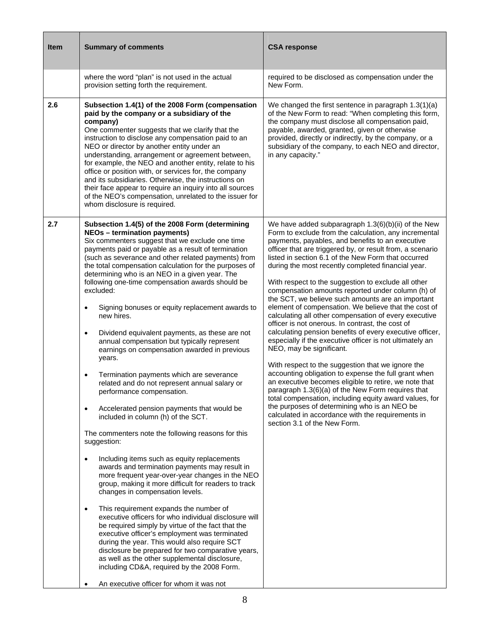| <b>Item</b> | <b>Summary of comments</b>                                                                                                                                                                                                                                                                                                                                                                                                                                                                                                                                                                                                                                                                                                                                                                                                                                                                                                                                                                                                                                                                                                                                                                                                                                                                                                                                                                                                                                                                                                                                                                                                                                                                                                               | <b>CSA response</b>                                                                                                                                                                                                                                                                                                                                                                                                                                                                                                                                                                                                                                                                                                                                                                                                                                                                                                                                                                                                                                                                                                                                                                                                                                            |
|-------------|------------------------------------------------------------------------------------------------------------------------------------------------------------------------------------------------------------------------------------------------------------------------------------------------------------------------------------------------------------------------------------------------------------------------------------------------------------------------------------------------------------------------------------------------------------------------------------------------------------------------------------------------------------------------------------------------------------------------------------------------------------------------------------------------------------------------------------------------------------------------------------------------------------------------------------------------------------------------------------------------------------------------------------------------------------------------------------------------------------------------------------------------------------------------------------------------------------------------------------------------------------------------------------------------------------------------------------------------------------------------------------------------------------------------------------------------------------------------------------------------------------------------------------------------------------------------------------------------------------------------------------------------------------------------------------------------------------------------------------------|----------------------------------------------------------------------------------------------------------------------------------------------------------------------------------------------------------------------------------------------------------------------------------------------------------------------------------------------------------------------------------------------------------------------------------------------------------------------------------------------------------------------------------------------------------------------------------------------------------------------------------------------------------------------------------------------------------------------------------------------------------------------------------------------------------------------------------------------------------------------------------------------------------------------------------------------------------------------------------------------------------------------------------------------------------------------------------------------------------------------------------------------------------------------------------------------------------------------------------------------------------------|
|             | where the word "plan" is not used in the actual<br>provision setting forth the requirement.                                                                                                                                                                                                                                                                                                                                                                                                                                                                                                                                                                                                                                                                                                                                                                                                                                                                                                                                                                                                                                                                                                                                                                                                                                                                                                                                                                                                                                                                                                                                                                                                                                              | required to be disclosed as compensation under the<br>New Form.                                                                                                                                                                                                                                                                                                                                                                                                                                                                                                                                                                                                                                                                                                                                                                                                                                                                                                                                                                                                                                                                                                                                                                                                |
| 2.6         | Subsection 1.4(1) of the 2008 Form (compensation<br>paid by the company or a subsidiary of the<br>company)<br>One commenter suggests that we clarify that the<br>instruction to disclose any compensation paid to an<br>NEO or director by another entity under an<br>understanding, arrangement or agreement between,<br>for example, the NEO and another entity, relate to his<br>office or position with, or services for, the company<br>and its subsidiaries. Otherwise, the instructions on<br>their face appear to require an inquiry into all sources<br>of the NEO's compensation, unrelated to the issuer for<br>whom disclosure is required.                                                                                                                                                                                                                                                                                                                                                                                                                                                                                                                                                                                                                                                                                                                                                                                                                                                                                                                                                                                                                                                                                  | We changed the first sentence in paragraph 1.3(1)(a)<br>of the New Form to read: "When completing this form,<br>the company must disclose all compensation paid,<br>payable, awarded, granted, given or otherwise<br>provided, directly or indirectly, by the company, or a<br>subsidiary of the company, to each NEO and director,<br>in any capacity."                                                                                                                                                                                                                                                                                                                                                                                                                                                                                                                                                                                                                                                                                                                                                                                                                                                                                                       |
| 2.7         | Subsection 1.4(5) of the 2008 Form (determining<br><b>NEOs - termination payments)</b><br>Six commenters suggest that we exclude one time<br>payments paid or payable as a result of termination<br>(such as severance and other related payments) from<br>the total compensation calculation for the purposes of<br>determining who is an NEO in a given year. The<br>following one-time compensation awards should be<br>excluded:<br>Signing bonuses or equity replacement awards to<br>$\bullet$<br>new hires.<br>Dividend equivalent payments, as these are not<br>$\bullet$<br>annual compensation but typically represent<br>earnings on compensation awarded in previous<br>years.<br>Termination payments which are severance<br>$\bullet$<br>related and do not represent annual salary or<br>performance compensation.<br>Accelerated pension payments that would be<br>$\bullet$<br>included in column (h) of the SCT.<br>The commenters note the following reasons for this<br>suggestion:<br>Including items such as equity replacements<br>$\bullet$<br>awards and termination payments may result in<br>more frequent year-over-year changes in the NEO<br>group, making it more difficult for readers to track<br>changes in compensation levels.<br>This requirement expands the number of<br>$\bullet$<br>executive officers for who individual disclosure will<br>be required simply by virtue of the fact that the<br>executive officer's employment was terminated<br>during the year. This would also require SCT<br>disclosure be prepared for two comparative years,<br>as well as the other supplemental disclosure,<br>including CD&A, required by the 2008 Form.<br>An executive officer for whom it was not | We have added subparagraph 1.3(6)(b)(ii) of the New<br>Form to exclude from the calculation, any incremental<br>payments, payables, and benefits to an executive<br>officer that are triggered by, or result from, a scenario<br>listed in section 6.1 of the New Form that occurred<br>during the most recently completed financial year.<br>With respect to the suggestion to exclude all other<br>compensation amounts reported under column (h) of<br>the SCT, we believe such amounts are an important<br>element of compensation. We believe that the cost of<br>calculating all other compensation of every executive<br>officer is not onerous. In contrast, the cost of<br>calculating pension benefits of every executive officer,<br>especially if the executive officer is not ultimately an<br>NEO, may be significant.<br>With respect to the suggestion that we ignore the<br>accounting obligation to expense the full grant when<br>an executive becomes eligible to retire, we note that<br>paragraph 1.3(6)(a) of the New Form requires that<br>total compensation, including equity award values, for<br>the purposes of determining who is an NEO be<br>calculated in accordance with the requirements in<br>section 3.1 of the New Form. |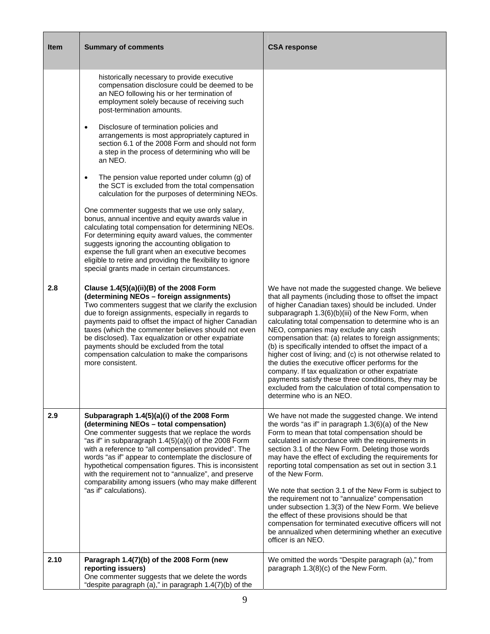| <b>Item</b> | <b>Summary of comments</b>                                                                                                                                                                                                                                                                                                                                                                                                                                                                                                                                                                                                                                                                                                                                                                                                                                                                                                                                                                                                                               | <b>CSA response</b>                                                                                                                                                                                                                                                                                                                                                                                                                                                                                                                                                                                                                                                                                                                                                       |
|-------------|----------------------------------------------------------------------------------------------------------------------------------------------------------------------------------------------------------------------------------------------------------------------------------------------------------------------------------------------------------------------------------------------------------------------------------------------------------------------------------------------------------------------------------------------------------------------------------------------------------------------------------------------------------------------------------------------------------------------------------------------------------------------------------------------------------------------------------------------------------------------------------------------------------------------------------------------------------------------------------------------------------------------------------------------------------|---------------------------------------------------------------------------------------------------------------------------------------------------------------------------------------------------------------------------------------------------------------------------------------------------------------------------------------------------------------------------------------------------------------------------------------------------------------------------------------------------------------------------------------------------------------------------------------------------------------------------------------------------------------------------------------------------------------------------------------------------------------------------|
|             | historically necessary to provide executive<br>compensation disclosure could be deemed to be<br>an NEO following his or her termination of<br>employment solely because of receiving such<br>post-termination amounts.<br>Disclosure of termination policies and<br>$\bullet$<br>arrangements is most appropriately captured in<br>section 6.1 of the 2008 Form and should not form<br>a step in the process of determining who will be<br>an NEO.<br>The pension value reported under column (g) of<br>the SCT is excluded from the total compensation<br>calculation for the purposes of determining NEOs.<br>One commenter suggests that we use only salary,<br>bonus, annual incentive and equity awards value in<br>calculating total compensation for determining NEOs.<br>For determining equity award values, the commenter<br>suggests ignoring the accounting obligation to<br>expense the full grant when an executive becomes<br>eligible to retire and providing the flexibility to ignore<br>special grants made in certain circumstances. |                                                                                                                                                                                                                                                                                                                                                                                                                                                                                                                                                                                                                                                                                                                                                                           |
| 2.8         | Clause 1.4(5)(a)(ii)(B) of the 2008 Form<br>(determining NEOs - foreign assignments)<br>Two commenters suggest that we clarify the exclusion<br>due to foreign assignments, especially in regards to<br>payments paid to offset the impact of higher Canadian<br>taxes (which the commenter believes should not even<br>be disclosed). Tax equalization or other expatriate<br>payments should be excluded from the total<br>compensation calculation to make the comparisons<br>more consistent.                                                                                                                                                                                                                                                                                                                                                                                                                                                                                                                                                        | We have not made the suggested change. We believe<br>that all payments (including those to offset the impact<br>of higher Canadian taxes) should be included. Under<br>subparagraph 1.3(6)(b)(iii) of the New Form, when<br>calculating total compensation to determine who is an<br>NEO, companies may exclude any cash<br>compensation that: (a) relates to foreign assignments;<br>(b) is specifically intended to offset the impact of a<br>higher cost of living; and (c) is not otherwise related to<br>the duties the executive officer performs for the<br>company. If tax equalization or other expatriate<br>payments satisfy these three conditions, they may be<br>excluded from the calculation of total compensation to<br>determine who is an NEO.         |
| 2.9         | Subparagraph 1.4(5)(a)(i) of the 2008 Form<br>(determining NEOs - total compensation)<br>One commenter suggests that we replace the words<br>"as if" in subparagraph 1.4(5)(a)(i) of the 2008 Form<br>with a reference to "all compensation provided". The<br>words "as if" appear to contemplate the disclosure of<br>hypothetical compensation figures. This is inconsistent<br>with the requirement not to "annualize", and preserve<br>comparability among issuers (who may make different<br>"as if" calculations).                                                                                                                                                                                                                                                                                                                                                                                                                                                                                                                                 | We have not made the suggested change. We intend<br>the words "as if" in paragraph $1.3(6)(a)$ of the New<br>Form to mean that total compensation should be<br>calculated in accordance with the requirements in<br>section 3.1 of the New Form. Deleting those words<br>may have the effect of excluding the requirements for<br>reporting total compensation as set out in section 3.1<br>of the New Form.<br>We note that section 3.1 of the New Form is subject to<br>the requirement not to "annualize" compensation<br>under subsection 1.3(3) of the New Form. We believe<br>the effect of these provisions should be that<br>compensation for terminated executive officers will not<br>be annualized when determining whether an executive<br>officer is an NEO. |
| 2.10        | Paragraph 1.4(7)(b) of the 2008 Form (new<br>reporting issuers)<br>One commenter suggests that we delete the words<br>"despite paragraph (a)," in paragraph 1.4(7)(b) of the                                                                                                                                                                                                                                                                                                                                                                                                                                                                                                                                                                                                                                                                                                                                                                                                                                                                             | We omitted the words "Despite paragraph (a)," from<br>paragraph 1.3(8)(c) of the New Form.                                                                                                                                                                                                                                                                                                                                                                                                                                                                                                                                                                                                                                                                                |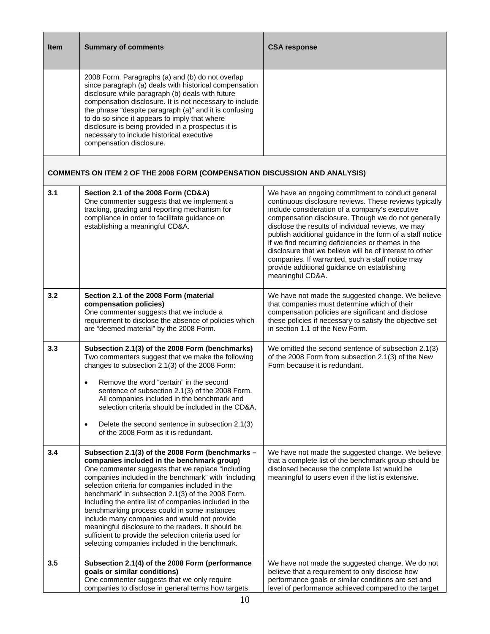| <b>Item</b> | <b>Summary of comments</b>                                                                                                                                                                                                                                                                                                                                                                                                                                                                                                                                                                                                                      | <b>CSA response</b>                                                                                                                                                                                                                                                                                                                                                                                                                                                                                                                                                            |
|-------------|-------------------------------------------------------------------------------------------------------------------------------------------------------------------------------------------------------------------------------------------------------------------------------------------------------------------------------------------------------------------------------------------------------------------------------------------------------------------------------------------------------------------------------------------------------------------------------------------------------------------------------------------------|--------------------------------------------------------------------------------------------------------------------------------------------------------------------------------------------------------------------------------------------------------------------------------------------------------------------------------------------------------------------------------------------------------------------------------------------------------------------------------------------------------------------------------------------------------------------------------|
|             | 2008 Form. Paragraphs (a) and (b) do not overlap<br>since paragraph (a) deals with historical compensation<br>disclosure while paragraph (b) deals with future<br>compensation disclosure. It is not necessary to include<br>the phrase "despite paragraph (a)" and it is confusing<br>to do so since it appears to imply that where<br>disclosure is being provided in a prospectus it is<br>necessary to include historical executive<br>compensation disclosure.                                                                                                                                                                             |                                                                                                                                                                                                                                                                                                                                                                                                                                                                                                                                                                                |
|             | <b>COMMENTS ON ITEM 2 OF THE 2008 FORM (COMPENSATION DISCUSSION AND ANALYSIS)</b>                                                                                                                                                                                                                                                                                                                                                                                                                                                                                                                                                               |                                                                                                                                                                                                                                                                                                                                                                                                                                                                                                                                                                                |
| 3.1         | Section 2.1 of the 2008 Form (CD&A)<br>One commenter suggests that we implement a<br>tracking, grading and reporting mechanism for<br>compliance in order to facilitate guidance on<br>establishing a meaningful CD&A.                                                                                                                                                                                                                                                                                                                                                                                                                          | We have an ongoing commitment to conduct general<br>continuous disclosure reviews. These reviews typically<br>include consideration of a company's executive<br>compensation disclosure. Though we do not generally<br>disclose the results of individual reviews, we may<br>publish additional guidance in the form of a staff notice<br>if we find recurring deficiencies or themes in the<br>disclosure that we believe will be of interest to other<br>companies. If warranted, such a staff notice may<br>provide additional guidance on establishing<br>meaningful CD&A. |
| 3.2         | Section 2.1 of the 2008 Form (material<br>compensation policies)<br>One commenter suggests that we include a<br>requirement to disclose the absence of policies which<br>are "deemed material" by the 2008 Form.                                                                                                                                                                                                                                                                                                                                                                                                                                | We have not made the suggested change. We believe<br>that companies must determine which of their<br>compensation policies are significant and disclose<br>these policies if necessary to satisfy the objective set<br>in section 1.1 of the New Form.                                                                                                                                                                                                                                                                                                                         |
| 3.3         | Subsection 2.1(3) of the 2008 Form (benchmarks)<br>Two commenters suggest that we make the following<br>changes to subsection 2.1(3) of the 2008 Form:<br>Remove the word "certain" in the second<br>$\bullet$<br>sentence of subsection 2.1(3) of the 2008 Form.<br>All companies included in the benchmark and<br>selection criteria should be included in the CD&A.<br>Delete the second sentence in subsection 2.1(3)<br>$\bullet$<br>of the 2008 Form as it is redundant.                                                                                                                                                                  | We omitted the second sentence of subsection 2.1(3)<br>of the 2008 Form from subsection 2.1(3) of the New<br>Form because it is redundant.                                                                                                                                                                                                                                                                                                                                                                                                                                     |
| 3.4         | Subsection 2.1(3) of the 2008 Form (benchmarks -<br>companies included in the benchmark group)<br>One commenter suggests that we replace "including<br>companies included in the benchmark" with "including<br>selection criteria for companies included in the<br>benchmark" in subsection 2.1(3) of the 2008 Form.<br>Including the entire list of companies included in the<br>benchmarking process could in some instances<br>include many companies and would not provide<br>meaningful disclosure to the readers. It should be<br>sufficient to provide the selection criteria used for<br>selecting companies included in the benchmark. | We have not made the suggested change. We believe<br>that a complete list of the benchmark group should be<br>disclosed because the complete list would be<br>meaningful to users even if the list is extensive.                                                                                                                                                                                                                                                                                                                                                               |
| 3.5         | Subsection 2.1(4) of the 2008 Form (performance<br>goals or similar conditions)<br>One commenter suggests that we only require<br>companies to disclose in general terms how targets                                                                                                                                                                                                                                                                                                                                                                                                                                                            | We have not made the suggested change. We do not<br>believe that a requirement to only disclose how<br>performance goals or similar conditions are set and<br>level of performance achieved compared to the target                                                                                                                                                                                                                                                                                                                                                             |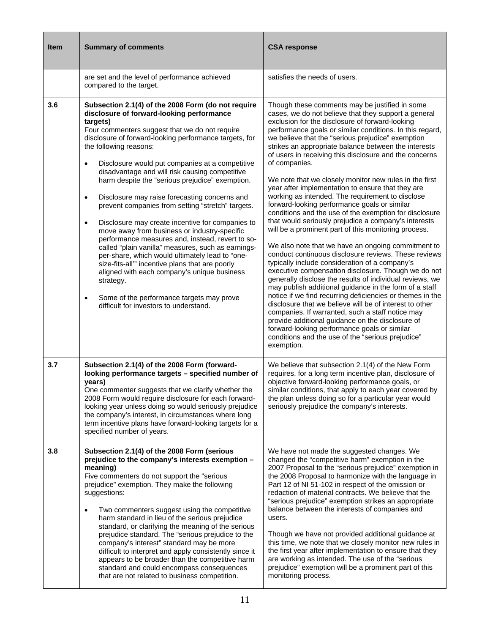| <b>Item</b> | <b>Summary of comments</b>                                                                                                                                                                                                                                                                                                                                                                                                                                                                                                                                                                                                                                                                                                                                                                                                                                                                                                                                                                                                                | <b>CSA response</b>                                                                                                                                                                                                                                                                                                                                                                                                                                                                                                                                                                                                                                                                                                                                                                                                                                                                                                                                                                                                                                                                                                                                                                                                                                                                                                                                                                                                                                                                                        |
|-------------|-------------------------------------------------------------------------------------------------------------------------------------------------------------------------------------------------------------------------------------------------------------------------------------------------------------------------------------------------------------------------------------------------------------------------------------------------------------------------------------------------------------------------------------------------------------------------------------------------------------------------------------------------------------------------------------------------------------------------------------------------------------------------------------------------------------------------------------------------------------------------------------------------------------------------------------------------------------------------------------------------------------------------------------------|------------------------------------------------------------------------------------------------------------------------------------------------------------------------------------------------------------------------------------------------------------------------------------------------------------------------------------------------------------------------------------------------------------------------------------------------------------------------------------------------------------------------------------------------------------------------------------------------------------------------------------------------------------------------------------------------------------------------------------------------------------------------------------------------------------------------------------------------------------------------------------------------------------------------------------------------------------------------------------------------------------------------------------------------------------------------------------------------------------------------------------------------------------------------------------------------------------------------------------------------------------------------------------------------------------------------------------------------------------------------------------------------------------------------------------------------------------------------------------------------------------|
|             | are set and the level of performance achieved<br>compared to the target.                                                                                                                                                                                                                                                                                                                                                                                                                                                                                                                                                                                                                                                                                                                                                                                                                                                                                                                                                                  | satisfies the needs of users.                                                                                                                                                                                                                                                                                                                                                                                                                                                                                                                                                                                                                                                                                                                                                                                                                                                                                                                                                                                                                                                                                                                                                                                                                                                                                                                                                                                                                                                                              |
| 3.6         | Subsection 2.1(4) of the 2008 Form (do not require<br>disclosure of forward-looking performance<br>targets)<br>Four commenters suggest that we do not require<br>disclosure of forward-looking performance targets, for<br>the following reasons:<br>Disclosure would put companies at a competitive<br>$\bullet$<br>disadvantage and will risk causing competitive<br>harm despite the "serious prejudice" exemption.<br>Disclosure may raise forecasting concerns and<br>$\bullet$<br>prevent companies from setting "stretch" targets.<br>Disclosure may create incentive for companies to<br>$\bullet$<br>move away from business or industry-specific<br>performance measures and, instead, revert to so-<br>called "plain vanilla" measures, such as earnings-<br>per-share, which would ultimately lead to "one-<br>size-fits-all" incentive plans that are poorly<br>aligned with each company's unique business<br>strategy.<br>Some of the performance targets may prove<br>$\bullet$<br>difficult for investors to understand. | Though these comments may be justified in some<br>cases, we do not believe that they support a general<br>exclusion for the disclosure of forward-looking<br>performance goals or similar conditions. In this regard,<br>we believe that the "serious prejudice" exemption<br>strikes an appropriate balance between the interests<br>of users in receiving this disclosure and the concerns<br>of companies.<br>We note that we closely monitor new rules in the first<br>year after implementation to ensure that they are<br>working as intended. The requirement to disclose<br>forward-looking performance goals or similar<br>conditions and the use of the exemption for disclosure<br>that would seriously prejudice a company's interests<br>will be a prominent part of this monitoring process.<br>We also note that we have an ongoing commitment to<br>conduct continuous disclosure reviews. These reviews<br>typically include consideration of a company's<br>executive compensation disclosure. Though we do not<br>generally disclose the results of individual reviews, we<br>may publish additional guidance in the form of a staff<br>notice if we find recurring deficiencies or themes in the<br>disclosure that we believe will be of interest to other<br>companies. If warranted, such a staff notice may<br>provide additional guidance on the disclosure of<br>forward-looking performance goals or similar<br>conditions and the use of the "serious prejudice"<br>exemption. |
| 3.7         | Subsection 2.1(4) of the 2008 Form (forward-<br>looking performance targets - specified number of<br>years)<br>One commenter suggests that we clarify whether the<br>2008 Form would require disclosure for each forward-<br>looking year unless doing so would seriously prejudice<br>the company's interest, in circumstances where long<br>term incentive plans have forward-looking targets for a<br>specified number of years.                                                                                                                                                                                                                                                                                                                                                                                                                                                                                                                                                                                                       | We believe that subsection 2.1(4) of the New Form<br>requires, for a long term incentive plan, disclosure of<br>objective forward-looking performance goals, or<br>similar conditions, that apply to each year covered by<br>the plan unless doing so for a particular year would<br>seriously prejudice the company's interests.                                                                                                                                                                                                                                                                                                                                                                                                                                                                                                                                                                                                                                                                                                                                                                                                                                                                                                                                                                                                                                                                                                                                                                          |
| 3.8         | Subsection 2.1(4) of the 2008 Form (serious<br>prejudice to the company's interests exemption -<br>meaning)<br>Five commenters do not support the "serious<br>prejudice" exemption. They make the following<br>suggestions:<br>Two commenters suggest using the competitive<br>$\bullet$<br>harm standard in lieu of the serious prejudice<br>standard, or clarifying the meaning of the serious<br>prejudice standard. The "serious prejudice to the<br>company's interest" standard may be more<br>difficult to interpret and apply consistently since it<br>appears to be broader than the competitive harm<br>standard and could encompass consequences<br>that are not related to business competition.                                                                                                                                                                                                                                                                                                                              | We have not made the suggested changes. We<br>changed the "competitive harm" exemption in the<br>2007 Proposal to the "serious prejudice" exemption in<br>the 2008 Proposal to harmonize with the language in<br>Part 12 of NI 51-102 in respect of the omission or<br>redaction of material contracts. We believe that the<br>"serious prejudice" exemption strikes an appropriate<br>balance between the interests of companies and<br>users.<br>Though we have not provided additional guidance at<br>this time, we note that we closely monitor new rules in<br>the first year after implementation to ensure that they<br>are working as intended. The use of the "serious<br>prejudice" exemption will be a prominent part of this<br>monitoring process.                                                                                                                                                                                                                                                                                                                                                                                                                                                                                                                                                                                                                                                                                                                                            |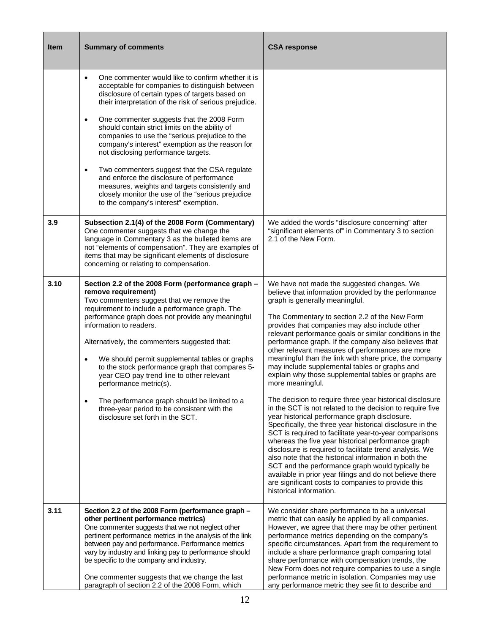| <b>Item</b> | <b>Summary of comments</b>                                                                                                                                                                                                                                                                                                                                                                                                                                                                                                                                                                                                                                                                                                                       | <b>CSA response</b>                                                                                                                                                                                                                                                                                                                                                                                                                                                                                                                                                                                                                                                                                                                                                                                                                                                                                                                                                                                                                                                                                                                                                                                                                                                              |
|-------------|--------------------------------------------------------------------------------------------------------------------------------------------------------------------------------------------------------------------------------------------------------------------------------------------------------------------------------------------------------------------------------------------------------------------------------------------------------------------------------------------------------------------------------------------------------------------------------------------------------------------------------------------------------------------------------------------------------------------------------------------------|----------------------------------------------------------------------------------------------------------------------------------------------------------------------------------------------------------------------------------------------------------------------------------------------------------------------------------------------------------------------------------------------------------------------------------------------------------------------------------------------------------------------------------------------------------------------------------------------------------------------------------------------------------------------------------------------------------------------------------------------------------------------------------------------------------------------------------------------------------------------------------------------------------------------------------------------------------------------------------------------------------------------------------------------------------------------------------------------------------------------------------------------------------------------------------------------------------------------------------------------------------------------------------|
|             | One commenter would like to confirm whether it is<br>$\bullet$<br>acceptable for companies to distinguish between<br>disclosure of certain types of targets based on<br>their interpretation of the risk of serious prejudice.<br>One commenter suggests that the 2008 Form<br>$\bullet$<br>should contain strict limits on the ability of<br>companies to use the "serious prejudice to the<br>company's interest" exemption as the reason for<br>not disclosing performance targets.<br>Two commenters suggest that the CSA regulate<br>$\bullet$<br>and enforce the disclosure of performance<br>measures, weights and targets consistently and<br>closely monitor the use of the "serious prejudice<br>to the company's interest" exemption. |                                                                                                                                                                                                                                                                                                                                                                                                                                                                                                                                                                                                                                                                                                                                                                                                                                                                                                                                                                                                                                                                                                                                                                                                                                                                                  |
| 3.9         | Subsection 2.1(4) of the 2008 Form (Commentary)<br>One commenter suggests that we change the<br>language in Commentary 3 as the bulleted items are<br>not "elements of compensation". They are examples of<br>items that may be significant elements of disclosure<br>concerning or relating to compensation.                                                                                                                                                                                                                                                                                                                                                                                                                                    | We added the words "disclosure concerning" after<br>"significant elements of" in Commentary 3 to section<br>2.1 of the New Form.                                                                                                                                                                                                                                                                                                                                                                                                                                                                                                                                                                                                                                                                                                                                                                                                                                                                                                                                                                                                                                                                                                                                                 |
| 3.10        | Section 2.2 of the 2008 Form (performance graph -<br>remove requirement)<br>Two commenters suggest that we remove the<br>requirement to include a performance graph. The<br>performance graph does not provide any meaningful<br>information to readers.<br>Alternatively, the commenters suggested that:<br>We should permit supplemental tables or graphs<br>$\bullet$<br>to the stock performance graph that compares 5-<br>year CEO pay trend line to other relevant<br>performance metric(s).<br>The performance graph should be limited to a<br>$\bullet$<br>three-year period to be consistent with the<br>disclosure set forth in the SCT.                                                                                               | We have not made the suggested changes. We<br>believe that information provided by the performance<br>graph is generally meaningful.<br>The Commentary to section 2.2 of the New Form<br>provides that companies may also include other<br>relevant performance goals or similar conditions in the<br>performance graph. If the company also believes that<br>other relevant measures of performances are more<br>meaningful than the link with share price, the company<br>may include supplemental tables or graphs and<br>explain why those supplemental tables or graphs are<br>more meaningful.<br>The decision to require three year historical disclosure<br>in the SCT is not related to the decision to require five<br>year historical performance graph disclosure.<br>Specifically, the three year historical disclosure in the<br>SCT is required to facilitate year-to-year comparisons<br>whereas the five year historical performance graph<br>disclosure is required to facilitate trend analysis. We<br>also note that the historical information in both the<br>SCT and the performance graph would typically be<br>available in prior year filings and do not believe there<br>are significant costs to companies to provide this<br>historical information. |
| 3.11        | Section 2.2 of the 2008 Form (performance graph -<br>other pertinent performance metrics)<br>One commenter suggests that we not neglect other<br>pertinent performance metrics in the analysis of the link<br>between pay and performance. Performance metrics<br>vary by industry and linking pay to performance should<br>be specific to the company and industry.<br>One commenter suggests that we change the last<br>paragraph of section 2.2 of the 2008 Form, which                                                                                                                                                                                                                                                                       | We consider share performance to be a universal<br>metric that can easily be applied by all companies.<br>However, we agree that there may be other pertinent<br>performance metrics depending on the company's<br>specific circumstances. Apart from the requirement to<br>include a share performance graph comparing total<br>share performance with compensation trends, the<br>New Form does not require companies to use a single<br>performance metric in isolation. Companies may use<br>any performance metric they see fit to describe and                                                                                                                                                                                                                                                                                                                                                                                                                                                                                                                                                                                                                                                                                                                             |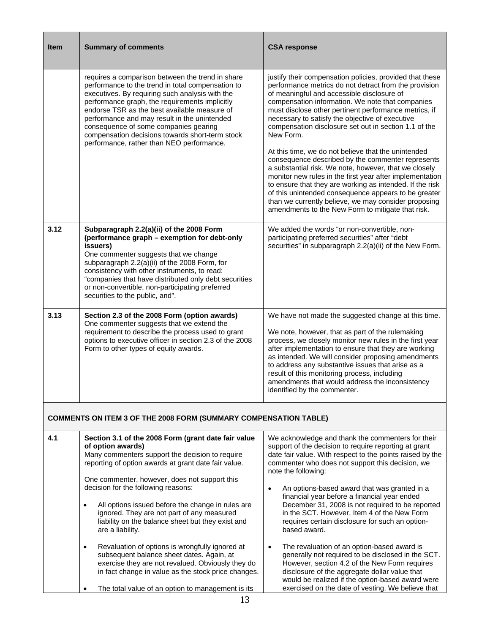| <b>Item</b> | <b>Summary of comments</b>                                                                                                                                                                                                                                                                                                                                                                                                                                                                                                                                                                                                                                                                                                                         | <b>CSA response</b>                                                                                                                                                                                                                                                                                                                                                                                                                                                                                                                                                                                                                                                                                                                                                                                                                                                     |
|-------------|----------------------------------------------------------------------------------------------------------------------------------------------------------------------------------------------------------------------------------------------------------------------------------------------------------------------------------------------------------------------------------------------------------------------------------------------------------------------------------------------------------------------------------------------------------------------------------------------------------------------------------------------------------------------------------------------------------------------------------------------------|-------------------------------------------------------------------------------------------------------------------------------------------------------------------------------------------------------------------------------------------------------------------------------------------------------------------------------------------------------------------------------------------------------------------------------------------------------------------------------------------------------------------------------------------------------------------------------------------------------------------------------------------------------------------------------------------------------------------------------------------------------------------------------------------------------------------------------------------------------------------------|
|             | requires a comparison between the trend in share<br>performance to the trend in total compensation to<br>executives. By requiring such analysis with the<br>performance graph, the requirements implicitly<br>endorse TSR as the best available measure of<br>performance and may result in the unintended<br>consequence of some companies gearing<br>compensation decisions towards short-term stock<br>performance, rather than NEO performance.                                                                                                                                                                                                                                                                                                | justify their compensation policies, provided that these<br>performance metrics do not detract from the provision<br>of meaningful and accessible disclosure of<br>compensation information. We note that companies<br>must disclose other pertinent performance metrics, if<br>necessary to satisfy the objective of executive<br>compensation disclosure set out in section 1.1 of the<br>New Form.<br>At this time, we do not believe that the unintended<br>consequence described by the commenter represents<br>a substantial risk. We note, however, that we closely<br>monitor new rules in the first year after implementation<br>to ensure that they are working as intended. If the risk<br>of this unintended consequence appears to be greater<br>than we currently believe, we may consider proposing<br>amendments to the New Form to mitigate that risk. |
| 3.12        | Subparagraph 2.2(a)(ii) of the 2008 Form<br>(performance graph - exemption for debt-only<br>issuers)<br>One commenter suggests that we change<br>subparagraph 2.2(a)(ii) of the 2008 Form, for<br>consistency with other instruments, to read:<br>"companies that have distributed only debt securities<br>or non-convertible, non-participating preferred<br>securities to the public, and".                                                                                                                                                                                                                                                                                                                                                      | We added the words "or non-convertible, non-<br>participating preferred securities" after "debt<br>securities" in subparagraph 2.2(a)(ii) of the New Form.                                                                                                                                                                                                                                                                                                                                                                                                                                                                                                                                                                                                                                                                                                              |
| 3.13        | Section 2.3 of the 2008 Form (option awards)<br>One commenter suggests that we extend the<br>requirement to describe the process used to grant<br>options to executive officer in section 2.3 of the 2008<br>Form to other types of equity awards.                                                                                                                                                                                                                                                                                                                                                                                                                                                                                                 | We have not made the suggested change at this time.<br>We note, however, that as part of the rulemaking<br>process, we closely monitor new rules in the first year<br>after implementation to ensure that they are working<br>as intended. We will consider proposing amendments<br>to address any substantive issues that arise as a<br>result of this monitoring process, including<br>amendments that would address the inconsistency<br>identified by the commenter.                                                                                                                                                                                                                                                                                                                                                                                                |
|             | <b>COMMENTS ON ITEM 3 OF THE 2008 FORM (SUMMARY COMPENSATION TABLE)</b>                                                                                                                                                                                                                                                                                                                                                                                                                                                                                                                                                                                                                                                                            |                                                                                                                                                                                                                                                                                                                                                                                                                                                                                                                                                                                                                                                                                                                                                                                                                                                                         |
| 4.1         | Section 3.1 of the 2008 Form (grant date fair value<br>of option awards)<br>Many commenters support the decision to require<br>reporting of option awards at grant date fair value.<br>One commenter, however, does not support this<br>decision for the following reasons:<br>All options issued before the change in rules are<br>$\bullet$<br>ignored. They are not part of any measured<br>liability on the balance sheet but they exist and<br>are a liability.<br>Revaluation of options is wrongfully ignored at<br>$\bullet$<br>subsequent balance sheet dates. Again, at<br>exercise they are not revalued. Obviously they do<br>in fact change in value as the stock price changes.<br>The total value of an option to management is its | We acknowledge and thank the commenters for their<br>support of the decision to require reporting at grant<br>date fair value. With respect to the points raised by the<br>commenter who does not support this decision, we<br>note the following:<br>An options-based award that was granted in a<br>$\bullet$<br>financial year before a financial year ended<br>December 31, 2008 is not required to be reported<br>in the SCT. However, Item 4 of the New Form<br>requires certain disclosure for such an option-<br>based award.<br>The revaluation of an option-based award is<br>$\bullet$<br>generally not required to be disclosed in the SCT.<br>However, section 4.2 of the New Form requires<br>disclosure of the aggregate dollar value that<br>would be realized if the option-based award were<br>exercised on the date of vesting. We believe that      |
|             | 13                                                                                                                                                                                                                                                                                                                                                                                                                                                                                                                                                                                                                                                                                                                                                 |                                                                                                                                                                                                                                                                                                                                                                                                                                                                                                                                                                                                                                                                                                                                                                                                                                                                         |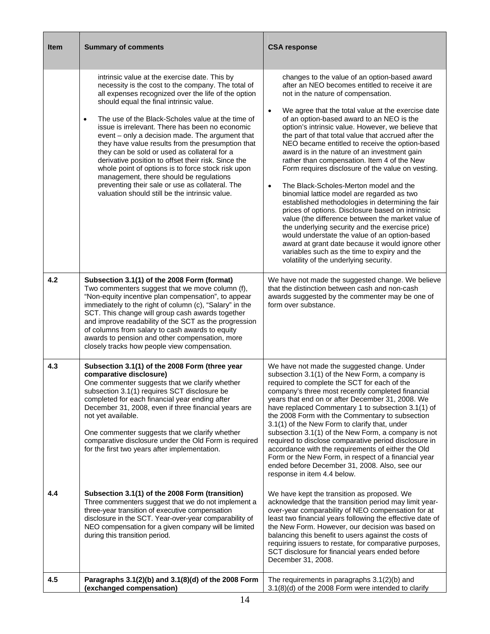| <b>Item</b> | <b>Summary of comments</b>                                                                                                                                                                                                                                                                                                                                                                                                                                                                                                                                                                                                                                                                                                                      | <b>CSA response</b>                                                                                                                                                                                                                                                                                                                                                                                                                                                                                                                                                                                                                                                                                                                                                                                                                                                                                                                                                                                                                                                                 |
|-------------|-------------------------------------------------------------------------------------------------------------------------------------------------------------------------------------------------------------------------------------------------------------------------------------------------------------------------------------------------------------------------------------------------------------------------------------------------------------------------------------------------------------------------------------------------------------------------------------------------------------------------------------------------------------------------------------------------------------------------------------------------|-------------------------------------------------------------------------------------------------------------------------------------------------------------------------------------------------------------------------------------------------------------------------------------------------------------------------------------------------------------------------------------------------------------------------------------------------------------------------------------------------------------------------------------------------------------------------------------------------------------------------------------------------------------------------------------------------------------------------------------------------------------------------------------------------------------------------------------------------------------------------------------------------------------------------------------------------------------------------------------------------------------------------------------------------------------------------------------|
|             | intrinsic value at the exercise date. This by<br>necessity is the cost to the company. The total of<br>all expenses recognized over the life of the option<br>should equal the final intrinsic value.<br>The use of the Black-Scholes value at the time of<br>$\bullet$<br>issue is irrelevant. There has been no economic<br>event - only a decision made. The argument that<br>they have value results from the presumption that<br>they can be sold or used as collateral for a<br>derivative position to offset their risk. Since the<br>whole point of options is to force stock risk upon<br>management, there should be regulations<br>preventing their sale or use as collateral. The<br>valuation should still be the intrinsic value. | changes to the value of an option-based award<br>after an NEO becomes entitled to receive it are<br>not in the nature of compensation.<br>We agree that the total value at the exercise date<br>of an option-based award to an NEO is the<br>option's intrinsic value. However, we believe that<br>the part of that total value that accrued after the<br>NEO became entitled to receive the option-based<br>award is in the nature of an investment gain<br>rather than compensation. Item 4 of the New<br>Form requires disclosure of the value on vesting.<br>The Black-Scholes-Merton model and the<br>$\bullet$<br>binomial lattice model are regarded as two<br>established methodologies in determining the fair<br>prices of options. Disclosure based on intrinsic<br>value (the difference between the market value of<br>the underlying security and the exercise price)<br>would understate the value of an option-based<br>award at grant date because it would ignore other<br>variables such as the time to expiry and the<br>volatility of the underlying security. |
| 4.2         | Subsection 3.1(1) of the 2008 Form (format)<br>Two commenters suggest that we move column (f),<br>"Non-equity incentive plan compensation", to appear<br>immediately to the right of column (c), "Salary" in the<br>SCT. This change will group cash awards together<br>and improve readability of the SCT as the progression<br>of columns from salary to cash awards to equity<br>awards to pension and other compensation, more<br>closely tracks how people view compensation.                                                                                                                                                                                                                                                              | We have not made the suggested change. We believe<br>that the distinction between cash and non-cash<br>awards suggested by the commenter may be one of<br>form over substance.                                                                                                                                                                                                                                                                                                                                                                                                                                                                                                                                                                                                                                                                                                                                                                                                                                                                                                      |
| 4.3         | Subsection 3.1(1) of the 2008 Form (three year<br>comparative disclosure)<br>One commenter suggests that we clarify whether<br>subsection 3.1(1) requires SCT disclosure be<br>completed for each financial year ending after<br>December 31, 2008, even if three financial years are<br>not yet available.<br>One commenter suggests that we clarify whether<br>comparative disclosure under the Old Form is required<br>for the first two years after implementation.                                                                                                                                                                                                                                                                         | We have not made the suggested change. Under<br>subsection 3.1(1) of the New Form, a company is<br>required to complete the SCT for each of the<br>company's three most recently completed financial<br>years that end on or after December 31, 2008. We<br>have replaced Commentary 1 to subsection 3.1(1) of<br>the 2008 Form with the Commentary to subsection<br>3.1(1) of the New Form to clarify that, under<br>subsection 3.1(1) of the New Form, a company is not<br>required to disclose comparative period disclosure in<br>accordance with the requirements of either the Old<br>Form or the New Form, in respect of a financial year<br>ended before December 31, 2008. Also, see our<br>response in item 4.4 below.                                                                                                                                                                                                                                                                                                                                                    |
| 4.4         | Subsection 3.1(1) of the 2008 Form (transition)<br>Three commenters suggest that we do not implement a<br>three-year transition of executive compensation<br>disclosure in the SCT. Year-over-year comparability of<br>NEO compensation for a given company will be limited<br>during this transition period.                                                                                                                                                                                                                                                                                                                                                                                                                                   | We have kept the transition as proposed. We<br>acknowledge that the transition period may limit year-<br>over-year comparability of NEO compensation for at<br>least two financial years following the effective date of<br>the New Form. However, our decision was based on<br>balancing this benefit to users against the costs of<br>requiring issuers to restate, for comparative purposes,<br>SCT disclosure for financial years ended before<br>December 31, 2008.                                                                                                                                                                                                                                                                                                                                                                                                                                                                                                                                                                                                            |
| 4.5         | Paragraphs 3.1(2)(b) and 3.1(8)(d) of the 2008 Form<br>(exchanged compensation)                                                                                                                                                                                                                                                                                                                                                                                                                                                                                                                                                                                                                                                                 | The requirements in paragraphs 3.1(2)(b) and<br>3.1(8)(d) of the 2008 Form were intended to clarify                                                                                                                                                                                                                                                                                                                                                                                                                                                                                                                                                                                                                                                                                                                                                                                                                                                                                                                                                                                 |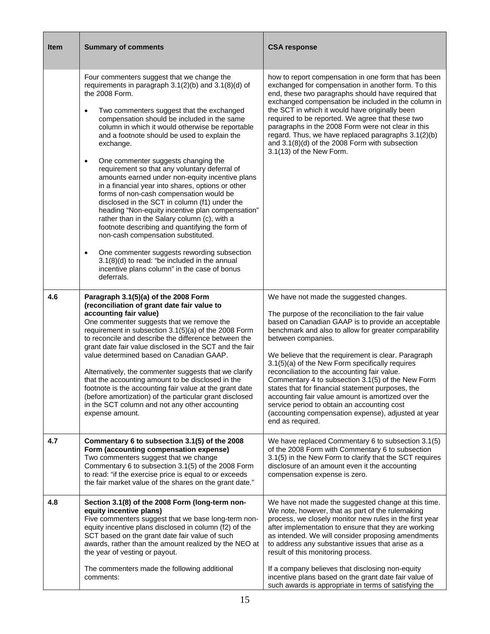| Item | <b>Summary of comments</b>                                                                                                                                                                                                                                                                                                                                                                                                                                                                                                                                                                                                                                                                                                                                                                                                                                                                                                                                                                                                            | <b>CSA response</b>                                                                                                                                                                                                                                                                                                                                                                                                                                                                                                                                                                                                                                                                     |
|------|---------------------------------------------------------------------------------------------------------------------------------------------------------------------------------------------------------------------------------------------------------------------------------------------------------------------------------------------------------------------------------------------------------------------------------------------------------------------------------------------------------------------------------------------------------------------------------------------------------------------------------------------------------------------------------------------------------------------------------------------------------------------------------------------------------------------------------------------------------------------------------------------------------------------------------------------------------------------------------------------------------------------------------------|-----------------------------------------------------------------------------------------------------------------------------------------------------------------------------------------------------------------------------------------------------------------------------------------------------------------------------------------------------------------------------------------------------------------------------------------------------------------------------------------------------------------------------------------------------------------------------------------------------------------------------------------------------------------------------------------|
|      | Four commenters suggest that we change the<br>requirements in paragraph $3.1(2)(b)$ and $3.1(8)(d)$ of<br>the 2008 Form.<br>Two commenters suggest that the exchanged<br>$\bullet$<br>compensation should be included in the same<br>column in which it would otherwise be reportable<br>and a footnote should be used to explain the<br>exchange.<br>One commenter suggests changing the<br>$\bullet$<br>requirement so that any voluntary deferral of<br>amounts earned under non-equity incentive plans<br>in a financial year into shares, options or other<br>forms of non-cash compensation would be<br>disclosed in the SCT in column (f1) under the<br>heading "Non-equity incentive plan compensation"<br>rather than in the Salary column (c), with a<br>footnote describing and quantifying the form of<br>non-cash compensation substituted.<br>One commenter suggests rewording subsection<br>$\bullet$<br>$3.1(8)(d)$ to read: "be included in the annual<br>incentive plans column" in the case of bonus<br>deferrals. | how to report compensation in one form that has been<br>exchanged for compensation in another form. To this<br>end, these two paragraphs should have required that<br>exchanged compensation be included in the column in<br>the SCT in which it would have originally been<br>required to be reported. We agree that these two<br>paragraphs in the 2008 Form were not clear in this<br>regard. Thus, we have replaced paragraphs 3.1(2)(b)<br>and 3.1(8)(d) of the 2008 Form with subsection<br>3.1(13) of the New Form.                                                                                                                                                              |
| 4.6  | Paragraph 3.1(5)(a) of the 2008 Form<br>(reconciliation of grant date fair value to<br>accounting fair value)<br>One commenter suggests that we remove the<br>requirement in subsection 3.1(5)(a) of the 2008 Form<br>to reconcile and describe the difference between the<br>grant date fair value disclosed in the SCT and the fair<br>value determined based on Canadian GAAP.<br>Alternatively, the commenter suggests that we clarify<br>that the accounting amount to be disclosed in the<br>footnote is the accounting fair value at the grant date<br>(before amortization) of the particular grant disclosed<br>in the SCT column and not any other accounting<br>expense amount.                                                                                                                                                                                                                                                                                                                                            | We have not made the suggested changes.<br>The purpose of the reconciliation to the fair value<br>based on Canadian GAAP is to provide an acceptable<br>benchmark and also to allow for greater comparability<br>between companies.<br>We believe that the requirement is clear. Paragraph<br>3.1(5)(a) of the New Form specifically requires<br>reconciliation to the accounting fair value.<br>Commentary 4 to subsection 3.1(5) of the New Form<br>states that for financial statement purposes, the<br>accounting fair value amount is amortized over the<br>service period to obtain an accounting cost<br>(accounting compensation expense), adjusted at year<br>end as required. |
| 4.7  | Commentary 6 to subsection 3.1(5) of the 2008<br>Form (accounting compensation expense)<br>Two commenters suggest that we change<br>Commentary 6 to subsection 3.1(5) of the 2008 Form<br>to read: "if the exercise price is equal to or exceeds<br>the fair market value of the shares on the grant date."                                                                                                                                                                                                                                                                                                                                                                                                                                                                                                                                                                                                                                                                                                                           | We have replaced Commentary 6 to subsection 3.1(5)<br>of the 2008 Form with Commentary 6 to subsection<br>3.1(5) in the New Form to clarify that the SCT requires<br>disclosure of an amount even it the accounting<br>compensation expense is zero.                                                                                                                                                                                                                                                                                                                                                                                                                                    |
| 4.8  | Section 3.1(8) of the 2008 Form (long-term non-<br>equity incentive plans)<br>Five commenters suggest that we base long-term non-<br>equity incentive plans disclosed in column (f2) of the<br>SCT based on the grant date fair value of such<br>awards, rather than the amount realized by the NEO at<br>the year of vesting or payout.<br>The commenters made the following additional<br>comments:                                                                                                                                                                                                                                                                                                                                                                                                                                                                                                                                                                                                                                 | We have not made the suggested change at this time.<br>We note, however, that as part of the rulemaking<br>process, we closely monitor new rules in the first year<br>after implementation to ensure that they are working<br>as intended. We will consider proposing amendments<br>to address any substantive issues that arise as a<br>result of this monitoring process.<br>If a company believes that disclosing non-equity<br>incentive plans based on the grant date fair value of<br>such awards is appropriate in terms of satisfying the                                                                                                                                       |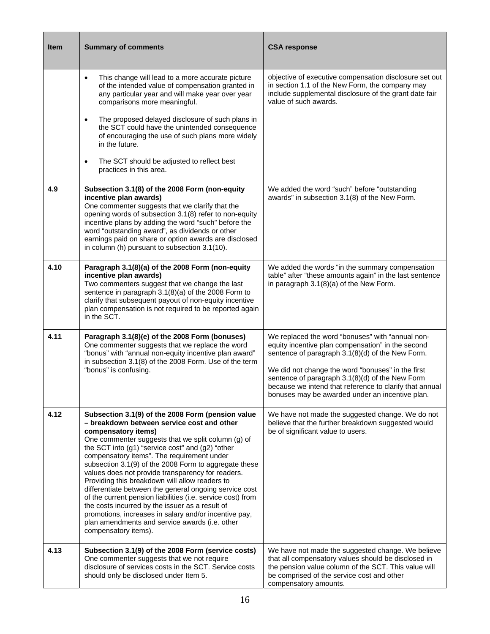| <b>Item</b> | <b>Summary of comments</b>                                                                                                                                                                                                                                                                                                                                                                                                                                                                                                                                                                                                                                                                                                                                    | <b>CSA response</b>                                                                                                                                                                                                                                                                                                                                                             |
|-------------|---------------------------------------------------------------------------------------------------------------------------------------------------------------------------------------------------------------------------------------------------------------------------------------------------------------------------------------------------------------------------------------------------------------------------------------------------------------------------------------------------------------------------------------------------------------------------------------------------------------------------------------------------------------------------------------------------------------------------------------------------------------|---------------------------------------------------------------------------------------------------------------------------------------------------------------------------------------------------------------------------------------------------------------------------------------------------------------------------------------------------------------------------------|
|             | This change will lead to a more accurate picture<br>$\bullet$<br>of the intended value of compensation granted in<br>any particular year and will make year over year<br>comparisons more meaningful.<br>The proposed delayed disclosure of such plans in<br>$\bullet$<br>the SCT could have the unintended consequence<br>of encouraging the use of such plans more widely<br>in the future.<br>The SCT should be adjusted to reflect best<br>$\bullet$<br>practices in this area.                                                                                                                                                                                                                                                                           | objective of executive compensation disclosure set out<br>in section 1.1 of the New Form, the company may<br>include supplemental disclosure of the grant date fair<br>value of such awards.                                                                                                                                                                                    |
| 4.9         | Subsection 3.1(8) of the 2008 Form (non-equity<br>incentive plan awards)<br>One commenter suggests that we clarify that the<br>opening words of subsection 3.1(8) refer to non-equity<br>incentive plans by adding the word "such" before the<br>word "outstanding award", as dividends or other<br>earnings paid on share or option awards are disclosed<br>in column (h) pursuant to subsection 3.1(10).                                                                                                                                                                                                                                                                                                                                                    | We added the word "such" before "outstanding<br>awards" in subsection 3.1(8) of the New Form.                                                                                                                                                                                                                                                                                   |
| 4.10        | Paragraph 3.1(8)(a) of the 2008 Form (non-equity<br>incentive plan awards)<br>Two commenters suggest that we change the last<br>sentence in paragraph 3.1(8)(a) of the 2008 Form to<br>clarify that subsequent payout of non-equity incentive<br>plan compensation is not required to be reported again<br>in the SCT.                                                                                                                                                                                                                                                                                                                                                                                                                                        | We added the words "in the summary compensation<br>table" after "these amounts again" in the last sentence<br>in paragraph 3.1(8)(a) of the New Form.                                                                                                                                                                                                                           |
| 4.11        | Paragraph 3.1(8)(e) of the 2008 Form (bonuses)<br>One commenter suggests that we replace the word<br>"bonus" with "annual non-equity incentive plan award"<br>in subsection 3.1(8) of the 2008 Form. Use of the term<br>"bonus" is confusing.                                                                                                                                                                                                                                                                                                                                                                                                                                                                                                                 | We replaced the word "bonuses" with "annual non-<br>equity incentive plan compensation" in the second<br>sentence of paragraph 3.1(8)(d) of the New Form.<br>We did not change the word "bonuses" in the first<br>sentence of paragraph 3.1(8)(d) of the New Form<br>because we intend that reference to clarify that annual<br>bonuses may be awarded under an incentive plan. |
| 4.12        | Subsection 3.1(9) of the 2008 Form (pension value<br>- breakdown between service cost and other<br>compensatory items)<br>One commenter suggests that we split column (g) of<br>the SCT into (g1) "service cost" and (g2) "other<br>compensatory items". The requirement under<br>subsection 3.1(9) of the 2008 Form to aggregate these<br>values does not provide transparency for readers.<br>Providing this breakdown will allow readers to<br>differentiate between the general ongoing service cost<br>of the current pension liabilities (i.e. service cost) from<br>the costs incurred by the issuer as a result of<br>promotions, increases in salary and/or incentive pay,<br>plan amendments and service awards (i.e. other<br>compensatory items). | We have not made the suggested change. We do not<br>believe that the further breakdown suggested would<br>be of significant value to users.                                                                                                                                                                                                                                     |
| 4.13        | Subsection 3.1(9) of the 2008 Form (service costs)<br>One commenter suggests that we not require<br>disclosure of services costs in the SCT. Service costs<br>should only be disclosed under Item 5.                                                                                                                                                                                                                                                                                                                                                                                                                                                                                                                                                          | We have not made the suggested change. We believe<br>that all compensatory values should be disclosed in<br>the pension value column of the SCT. This value will<br>be comprised of the service cost and other<br>compensatory amounts.                                                                                                                                         |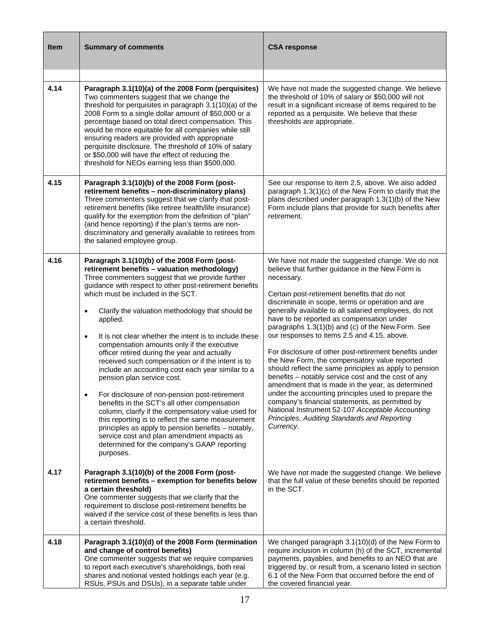| <b>Item</b> | <b>Summary of comments</b>                                                                                                                                                                                                                                                                                                                                                                                                                                                                                                                                                                                                                                                                                                                                                                                                                                                                                                                                                                                              | <b>CSA response</b>                                                                                                                                                                                                                                                                                                                                                                                                                                                                                                                                                                                                                                                                                                                                                                                                                                                                                                                           |
|-------------|-------------------------------------------------------------------------------------------------------------------------------------------------------------------------------------------------------------------------------------------------------------------------------------------------------------------------------------------------------------------------------------------------------------------------------------------------------------------------------------------------------------------------------------------------------------------------------------------------------------------------------------------------------------------------------------------------------------------------------------------------------------------------------------------------------------------------------------------------------------------------------------------------------------------------------------------------------------------------------------------------------------------------|-----------------------------------------------------------------------------------------------------------------------------------------------------------------------------------------------------------------------------------------------------------------------------------------------------------------------------------------------------------------------------------------------------------------------------------------------------------------------------------------------------------------------------------------------------------------------------------------------------------------------------------------------------------------------------------------------------------------------------------------------------------------------------------------------------------------------------------------------------------------------------------------------------------------------------------------------|
| 4.14        | Paragraph 3.1(10)(a) of the 2008 Form (perquisites)<br>Two commenters suggest that we change the<br>threshold for perquisites in paragraph 3.1(10)(a) of the<br>2008 Form to a single dollar amount of \$50,000 or a<br>percentage based on total direct compensation. This<br>would be more equitable for all companies while still<br>ensuring readers are provided with appropriate<br>perquisite disclosure. The threshold of 10% of salary<br>or \$50,000 will have the effect of reducing the<br>threshold for NEOs earning less than \$500,000.                                                                                                                                                                                                                                                                                                                                                                                                                                                                  | We have not made the suggested change. We believe<br>the threshold of 10% of salary or \$50,000 will not<br>result in a significant increase of items required to be<br>reported as a perquisite. We believe that these<br>thresholds are appropriate.                                                                                                                                                                                                                                                                                                                                                                                                                                                                                                                                                                                                                                                                                        |
| 4.15        | Paragraph 3.1(10)(b) of the 2008 Form (post-<br>retirement benefits - non-discriminatory plans)<br>Three commenters suggest that we clarify that post-<br>retirement benefits (like retiree health/life insurance)<br>qualify for the exemption from the definition of "plan"<br>(and hence reporting) if the plan's terms are non-<br>discriminatory and generally available to retirees from<br>the salaried employee group.                                                                                                                                                                                                                                                                                                                                                                                                                                                                                                                                                                                          | See our response to item 2.5, above. We also added<br>paragraph 1.3(1)(c) of the New Form to clarify that the<br>plans described under paragraph 1.3(1)(b) of the New<br>Form include plans that provide for such benefits after<br>retirement.                                                                                                                                                                                                                                                                                                                                                                                                                                                                                                                                                                                                                                                                                               |
| 4.16        | Paragraph 3.1(10)(b) of the 2008 Form (post-<br>retirement benefits - valuation methodology)<br>Three commenters suggest that we provide further<br>guidance with respect to other post-retirement benefits<br>which must be included in the SCT.<br>Clarify the valuation methodology that should be<br>$\bullet$<br>applied.<br>It is not clear whether the intent is to include these<br>$\bullet$<br>compensation amounts only if the executive<br>officer retired during the year and actually<br>received such compensation or if the intent is to<br>include an accounting cost each year similar to a<br>pension plan service cost.<br>For disclosure of non-pension post-retirement<br>benefits in the SCT's all other compensation<br>column, clarify if the compensatory value used for<br>this reporting is to reflect the same measurement<br>principles as apply to pension benefits - notably,<br>service cost and plan amendment impacts as<br>determined for the company's GAAP reporting<br>purposes. | We have not made the suggested change. We do not<br>believe that further guidance in the New Form is<br>necessary.<br>Certain post-retirement benefits that do not<br>discriminate in scope, terms or operation and are<br>generally available to all salaried employees, do not<br>have to be reported as compensation under<br>paragraphs 1.3(1)(b) and (c) of the New Form. See<br>our responses to items 2.5 and 4.15, above.<br>For disclosure of other post-retirement benefits under<br>the New Form, the compensatory value reported<br>should reflect the same principles as apply to pension<br>benefits - notably service cost and the cost of any<br>amendment that is made in the year, as determined<br>under the accounting principles used to prepare the<br>company's financial statements, as permitted by<br>National Instrument 52-107 Acceptable Accounting<br>Principles, Auditing Standards and Reporting<br>Currency. |
| 4.17        | Paragraph 3.1(10)(b) of the 2008 Form (post-<br>retirement benefits - exemption for benefits below<br>a certain threshold)<br>One commenter suggests that we clarify that the<br>requirement to disclose post-retirement benefits be<br>waived if the service cost of these benefits is less than<br>a certain threshold.                                                                                                                                                                                                                                                                                                                                                                                                                                                                                                                                                                                                                                                                                               | We have not made the suggested change. We believe<br>that the full value of these benefits should be reported<br>in the SCT.                                                                                                                                                                                                                                                                                                                                                                                                                                                                                                                                                                                                                                                                                                                                                                                                                  |
| 4.18        | Paragraph 3.1(10)(d) of the 2008 Form (termination<br>and change of control benefits)<br>One commenter suggests that we require companies<br>to report each executive's shareholdings, both real<br>shares and notional vested holdings each year (e.g.<br>RSUs, PSUs and DSUs), in a separate table under                                                                                                                                                                                                                                                                                                                                                                                                                                                                                                                                                                                                                                                                                                              | We changed paragraph 3.1(10)(d) of the New Form to<br>require inclusion in column (h) of the SCT, incremental<br>payments, payables, and benefits to an NEO that are<br>triggered by, or result from, a scenario listed in section<br>6.1 of the New Form that occurred before the end of<br>the covered financial year.                                                                                                                                                                                                                                                                                                                                                                                                                                                                                                                                                                                                                      |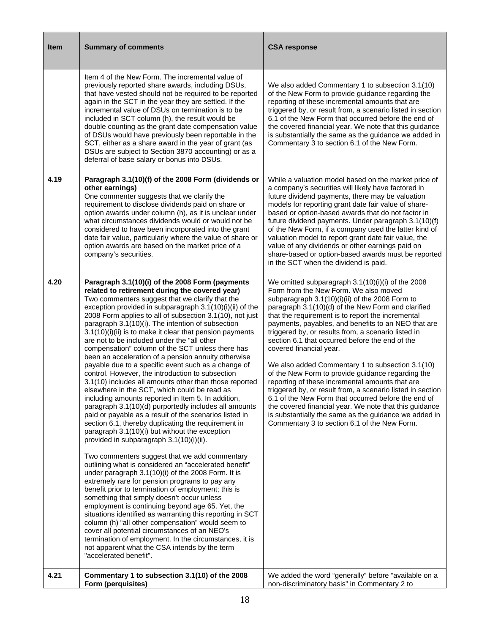| <b>Item</b> | <b>Summary of comments</b>                                                                                                                                                                                                                                                                                                                                                                                                                                                                                                                                                                                                                                                                                                                                                                                                                                                                                                                                                                                                                                                                                                                                                                                                                                                                                                                                                                                                                                                                                                                                                                                                                                                                                                                                                                    | <b>CSA response</b>                                                                                                                                                                                                                                                                                                                                                                                                                                                                                                                                                                                                                                                                                                                                                                                                                                                                                      |
|-------------|-----------------------------------------------------------------------------------------------------------------------------------------------------------------------------------------------------------------------------------------------------------------------------------------------------------------------------------------------------------------------------------------------------------------------------------------------------------------------------------------------------------------------------------------------------------------------------------------------------------------------------------------------------------------------------------------------------------------------------------------------------------------------------------------------------------------------------------------------------------------------------------------------------------------------------------------------------------------------------------------------------------------------------------------------------------------------------------------------------------------------------------------------------------------------------------------------------------------------------------------------------------------------------------------------------------------------------------------------------------------------------------------------------------------------------------------------------------------------------------------------------------------------------------------------------------------------------------------------------------------------------------------------------------------------------------------------------------------------------------------------------------------------------------------------|----------------------------------------------------------------------------------------------------------------------------------------------------------------------------------------------------------------------------------------------------------------------------------------------------------------------------------------------------------------------------------------------------------------------------------------------------------------------------------------------------------------------------------------------------------------------------------------------------------------------------------------------------------------------------------------------------------------------------------------------------------------------------------------------------------------------------------------------------------------------------------------------------------|
|             | Item 4 of the New Form. The incremental value of<br>previously reported share awards, including DSUs,<br>that have vested should not be required to be reported<br>again in the SCT in the year they are settled. If the<br>incremental value of DSUs on termination is to be<br>included in SCT column (h), the result would be<br>double counting as the grant date compensation value<br>of DSUs would have previously been reportable in the<br>SCT, either as a share award in the year of grant (as<br>DSUs are subject to Section 3870 accounting) or as a<br>deferral of base salary or bonus into DSUs.                                                                                                                                                                                                                                                                                                                                                                                                                                                                                                                                                                                                                                                                                                                                                                                                                                                                                                                                                                                                                                                                                                                                                                              | We also added Commentary 1 to subsection 3.1(10)<br>of the New Form to provide guidance regarding the<br>reporting of these incremental amounts that are<br>triggered by, or result from, a scenario listed in section<br>6.1 of the New Form that occurred before the end of<br>the covered financial year. We note that this guidance<br>is substantially the same as the guidance we added in<br>Commentary 3 to section 6.1 of the New Form.                                                                                                                                                                                                                                                                                                                                                                                                                                                         |
| 4.19        | Paragraph 3.1(10)(f) of the 2008 Form (dividends or<br>other earnings)<br>One commenter suggests that we clarify the<br>requirement to disclose dividends paid on share or<br>option awards under column (h), as it is unclear under<br>what circumstances dividends would or would not be<br>considered to have been incorporated into the grant<br>date fair value, particularly where the value of share or<br>option awards are based on the market price of a<br>company's securities.                                                                                                                                                                                                                                                                                                                                                                                                                                                                                                                                                                                                                                                                                                                                                                                                                                                                                                                                                                                                                                                                                                                                                                                                                                                                                                   | While a valuation model based on the market price of<br>a company's securities will likely have factored in<br>future dividend payments, there may be valuation<br>models for reporting grant date fair value of share-<br>based or option-based awards that do not factor in<br>future dividend payments. Under paragraph 3.1(10)(f)<br>of the New Form, if a company used the latter kind of<br>valuation model to report grant date fair value, the<br>value of any dividends or other earnings paid on<br>share-based or option-based awards must be reported<br>in the SCT when the dividend is paid.                                                                                                                                                                                                                                                                                               |
| 4.20        | Paragraph 3.1(10)(i) of the 2008 Form (payments<br>related to retirement during the covered year)<br>Two commenters suggest that we clarify that the<br>exception provided in subparagraph 3.1(10)(i)(ii) of the<br>2008 Form applies to all of subsection 3.1(10), not just<br>paragraph 3.1(10)(i). The intention of subsection<br>3.1(10)(i)(ii) is to make it clear that pension payments<br>are not to be included under the "all other<br>compensation" column of the SCT unless there has<br>been an acceleration of a pension annuity otherwise<br>payable due to a specific event such as a change of<br>control. However, the introduction to subsection<br>3.1(10) includes all amounts other than those reported<br>elsewhere in the SCT, which could be read as<br>including amounts reported in Item 5. In addition,<br>paragraph 3.1(10)(d) purportedly includes all amounts<br>paid or payable as a result of the scenarios listed in<br>section 6.1, thereby duplicating the requirement in<br>paragraph 3.1(10)(i) but without the exception<br>provided in subparagraph 3.1(10)(i)(ii).<br>Two commenters suggest that we add commentary<br>outlining what is considered an "accelerated benefit"<br>under paragraph 3.1(10)(i) of the 2008 Form. It is<br>extremely rare for pension programs to pay any<br>benefit prior to termination of employment; this is<br>something that simply doesn't occur unless<br>employment is continuing beyond age 65. Yet, the<br>situations identified as warranting this reporting in SCT<br>column (h) "all other compensation" would seem to<br>cover all potential circumstances of an NEO's<br>termination of employment. In the circumstances, it is<br>not apparent what the CSA intends by the term<br>"accelerated benefit". | We omitted subparagraph 3.1(10)(i)(i) of the 2008<br>Form from the New Form. We also moved<br>subparagraph 3.1(10)(i)(ii) of the 2008 Form to<br>paragraph 3.1(10)(d) of the New Form and clarified<br>that the requirement is to report the incremental<br>payments, payables, and benefits to an NEO that are<br>triggered by, or results from, a scenario listed in<br>section 6.1 that occurred before the end of the<br>covered financial year.<br>We also added Commentary 1 to subsection 3.1(10)<br>of the New Form to provide guidance regarding the<br>reporting of these incremental amounts that are<br>triggered by, or result from, a scenario listed in section<br>6.1 of the New Form that occurred before the end of<br>the covered financial year. We note that this guidance<br>is substantially the same as the guidance we added in<br>Commentary 3 to section 6.1 of the New Form. |
| 4.21        | Commentary 1 to subsection 3.1(10) of the 2008<br>Form (perquisites)                                                                                                                                                                                                                                                                                                                                                                                                                                                                                                                                                                                                                                                                                                                                                                                                                                                                                                                                                                                                                                                                                                                                                                                                                                                                                                                                                                                                                                                                                                                                                                                                                                                                                                                          | We added the word "generally" before "available on a<br>non-discriminatory basis" in Commentary 2 to                                                                                                                                                                                                                                                                                                                                                                                                                                                                                                                                                                                                                                                                                                                                                                                                     |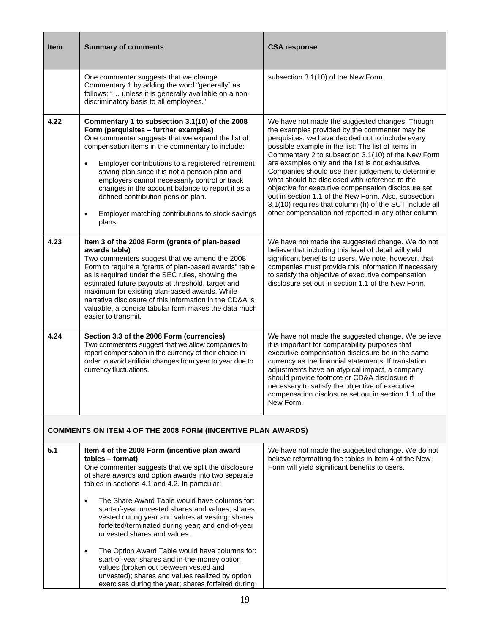| <b>Item</b> | <b>Summary of comments</b>                                                                                                                                                                                                                                                                                                                                                                                                                                                                                                                 | <b>CSA response</b>                                                                                                                                                                                                                                                                                                                                                                                                                                                                                                                                                                                                                                            |
|-------------|--------------------------------------------------------------------------------------------------------------------------------------------------------------------------------------------------------------------------------------------------------------------------------------------------------------------------------------------------------------------------------------------------------------------------------------------------------------------------------------------------------------------------------------------|----------------------------------------------------------------------------------------------------------------------------------------------------------------------------------------------------------------------------------------------------------------------------------------------------------------------------------------------------------------------------------------------------------------------------------------------------------------------------------------------------------------------------------------------------------------------------------------------------------------------------------------------------------------|
|             | One commenter suggests that we change<br>Commentary 1 by adding the word "generally" as<br>follows: " unless it is generally available on a non-<br>discriminatory basis to all employees."                                                                                                                                                                                                                                                                                                                                                | subsection 3.1(10) of the New Form.                                                                                                                                                                                                                                                                                                                                                                                                                                                                                                                                                                                                                            |
| 4.22        | Commentary 1 to subsection 3.1(10) of the 2008<br>Form (perquisites - further examples)<br>One commenter suggests that we expand the list of<br>compensation items in the commentary to include:<br>Employer contributions to a registered retirement<br>$\bullet$<br>saving plan since it is not a pension plan and<br>employers cannot necessarily control or track<br>changes in the account balance to report it as a<br>defined contribution pension plan.<br>Employer matching contributions to stock savings<br>$\bullet$<br>plans. | We have not made the suggested changes. Though<br>the examples provided by the commenter may be<br>perquisites, we have decided not to include every<br>possible example in the list: The list of items in<br>Commentary 2 to subsection 3.1(10) of the New Form<br>are examples only and the list is not exhaustive.<br>Companies should use their judgement to determine<br>what should be disclosed with reference to the<br>objective for executive compensation disclosure set<br>out in section 1.1 of the New Form. Also, subsection<br>3.1(10) requires that column (h) of the SCT include all<br>other compensation not reported in any other column. |
| 4.23        | Item 3 of the 2008 Form (grants of plan-based<br>awards table)<br>Two commenters suggest that we amend the 2008<br>Form to require a "grants of plan-based awards" table,<br>as is required under the SEC rules, showing the<br>estimated future payouts at threshold, target and<br>maximum for existing plan-based awards. While<br>narrative disclosure of this information in the CD&A is<br>valuable, a concise tabular form makes the data much<br>easier to transmit.                                                               | We have not made the suggested change. We do not<br>believe that including this level of detail will yield<br>significant benefits to users. We note, however, that<br>companies must provide this information if necessary<br>to satisfy the objective of executive compensation<br>disclosure set out in section 1.1 of the New Form.                                                                                                                                                                                                                                                                                                                        |
| 4.24        | Section 3.3 of the 2008 Form (currencies)<br>Two commenters suggest that we allow companies to<br>report compensation in the currency of their choice in<br>order to avoid artificial changes from year to year due to<br>currency fluctuations.                                                                                                                                                                                                                                                                                           | We have not made the suggested change. We believe<br>it is important for comparability purposes that<br>executive compensation disclosure be in the same<br>currency as the financial statements. If translation<br>adjustments have an atypical impact, a company<br>should provide footnote or CD&A disclosure if<br>necessary to satisfy the objective of executive<br>compensation disclosure set out in section 1.1 of the<br>New Form.                                                                                                                                                                                                                   |
|             | COMMENTS ON ITEM 4 OF THE 2008 FORM (INCENTIVE PLAN AWARDS)                                                                                                                                                                                                                                                                                                                                                                                                                                                                                |                                                                                                                                                                                                                                                                                                                                                                                                                                                                                                                                                                                                                                                                |
| 5.1         | Item 4 of the 2008 Form (incentive plan award<br>tables – format)<br>One commenter suggests that we split the disclosure<br>of share awards and option awards into two separate<br>tables in sections 4.1 and 4.2. In particular:<br>The Share Award Table would have columns for:<br>$\bullet$<br>start-of-year unvested shares and values; shares<br>vested during year and values at vesting; shares                                                                                                                                    | We have not made the suggested change. We do not<br>believe reformatting the tables in Item 4 of the New<br>Form will yield significant benefits to users.                                                                                                                                                                                                                                                                                                                                                                                                                                                                                                     |

• The Option Award Table would have columns for: start-of-year shares and in-the-money option values (broken out between vested and unvested); shares and values realized by option exercises during the year; shares forfeited during

unvested shares and values.

forfeited/terminated during year; and end-of-year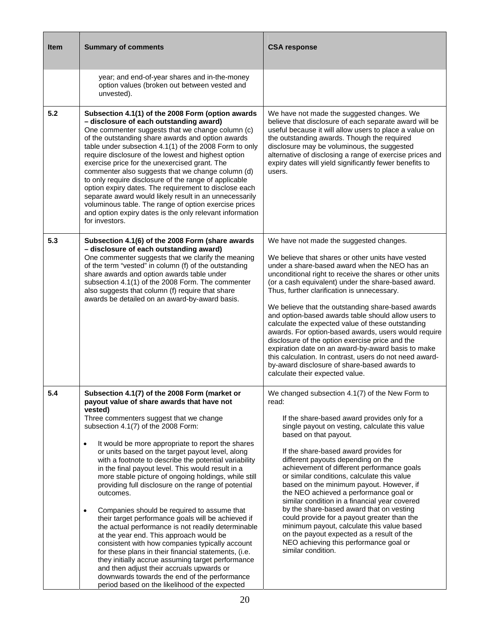| <b>Item</b> | <b>Summary of comments</b>                                                                                                                                                                                                                                                                                                                                                                                                                                                                                                                                                                                                                                                                                                                                                                                                                                                                                                                                                                                                                                                                 | <b>CSA response</b>                                                                                                                                                                                                                                                                                                                                                                                                                                                                                                                                                                                                                                                                                                                                                                              |
|-------------|--------------------------------------------------------------------------------------------------------------------------------------------------------------------------------------------------------------------------------------------------------------------------------------------------------------------------------------------------------------------------------------------------------------------------------------------------------------------------------------------------------------------------------------------------------------------------------------------------------------------------------------------------------------------------------------------------------------------------------------------------------------------------------------------------------------------------------------------------------------------------------------------------------------------------------------------------------------------------------------------------------------------------------------------------------------------------------------------|--------------------------------------------------------------------------------------------------------------------------------------------------------------------------------------------------------------------------------------------------------------------------------------------------------------------------------------------------------------------------------------------------------------------------------------------------------------------------------------------------------------------------------------------------------------------------------------------------------------------------------------------------------------------------------------------------------------------------------------------------------------------------------------------------|
|             | year; and end-of-year shares and in-the-money<br>option values (broken out between vested and<br>unvested).                                                                                                                                                                                                                                                                                                                                                                                                                                                                                                                                                                                                                                                                                                                                                                                                                                                                                                                                                                                |                                                                                                                                                                                                                                                                                                                                                                                                                                                                                                                                                                                                                                                                                                                                                                                                  |
| 5.2         | Subsection 4.1(1) of the 2008 Form (option awards<br>- disclosure of each outstanding award)<br>One commenter suggests that we change column (c)<br>of the outstanding share awards and option awards<br>table under subsection 4.1(1) of the 2008 Form to only<br>require disclosure of the lowest and highest option<br>exercise price for the unexercised grant. The<br>commenter also suggests that we change column (d)<br>to only require disclosure of the range of applicable<br>option expiry dates. The requirement to disclose each<br>separate award would likely result in an unnecessarily<br>voluminous table. The range of option exercise prices<br>and option expiry dates is the only relevant information<br>for investors.                                                                                                                                                                                                                                                                                                                                            | We have not made the suggested changes. We<br>believe that disclosure of each separate award will be<br>useful because it will allow users to place a value on<br>the outstanding awards. Though the required<br>disclosure may be voluminous, the suggested<br>alternative of disclosing a range of exercise prices and<br>expiry dates will yield significantly fewer benefits to<br>users.                                                                                                                                                                                                                                                                                                                                                                                                    |
| 5.3         | Subsection 4.1(6) of the 2008 Form (share awards<br>- disclosure of each outstanding award)<br>One commenter suggests that we clarify the meaning<br>of the term "vested" in column (f) of the outstanding<br>share awards and option awards table under<br>subsection 4.1(1) of the 2008 Form. The commenter<br>also suggests that column (f) require that share<br>awards be detailed on an award-by-award basis.                                                                                                                                                                                                                                                                                                                                                                                                                                                                                                                                                                                                                                                                        | We have not made the suggested changes.<br>We believe that shares or other units have vested<br>under a share-based award when the NEO has an<br>unconditional right to receive the shares or other units<br>(or a cash equivalent) under the share-based award.<br>Thus, further clarification is unnecessary.<br>We believe that the outstanding share-based awards<br>and option-based awards table should allow users to<br>calculate the expected value of these outstanding<br>awards. For option-based awards, users would require<br>disclosure of the option exercise price and the<br>expiration date on an award-by-award basis to make<br>this calculation. In contrast, users do not need award-<br>by-award disclosure of share-based awards to<br>calculate their expected value. |
| 5.4         | Subsection 4.1(7) of the 2008 Form (market or<br>payout value of share awards that have not<br>vested)<br>Three commenters suggest that we change<br>subsection 4.1(7) of the 2008 Form:<br>It would be more appropriate to report the shares<br>$\bullet$<br>or units based on the target payout level, along<br>with a footnote to describe the potential variability<br>in the final payout level. This would result in a<br>more stable picture of ongoing holdings, while still<br>providing full disclosure on the range of potential<br>outcomes.<br>Companies should be required to assume that<br>$\bullet$<br>their target performance goals will be achieved if<br>the actual performance is not readily determinable<br>at the year end. This approach would be<br>consistent with how companies typically account<br>for these plans in their financial statements, (i.e.<br>they initially accrue assuming target performance<br>and then adjust their accruals upwards or<br>downwards towards the end of the performance<br>period based on the likelihood of the expected | We changed subsection 4.1(7) of the New Form to<br>read:<br>If the share-based award provides only for a<br>single payout on vesting, calculate this value<br>based on that payout.<br>If the share-based award provides for<br>different payouts depending on the<br>achievement of different performance goals<br>or similar conditions, calculate this value<br>based on the minimum payout. However, if<br>the NEO achieved a performance goal or<br>similar condition in a financial year covered<br>by the share-based award that on vesting<br>could provide for a payout greater than the<br>minimum payout, calculate this value based<br>on the payout expected as a result of the<br>NEO achieving this performance goal or<br>similar condition.                                     |

┓

┱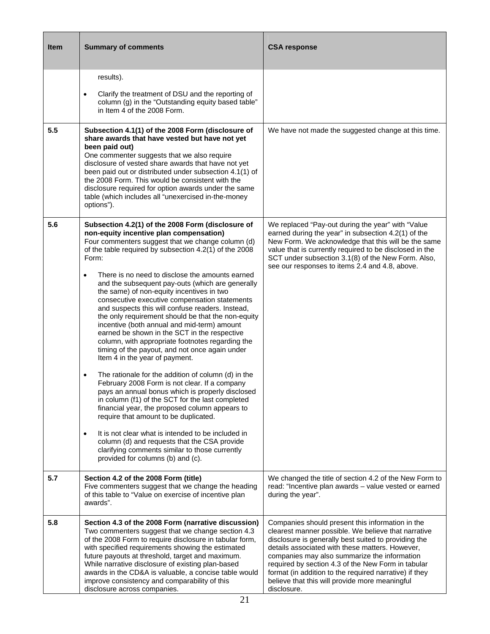| Item | <b>Summary of comments</b>                                                                                                                                                                                                                                                                                                                                                                                                                                                                                                                                                                                                                                                                                                                                                                                                                                                                                                                                                                                                                                                                                                                                                                                                                                                                                   | <b>CSA response</b>                                                                                                                                                                                                                                                                                                                                                                                                                                 |
|------|--------------------------------------------------------------------------------------------------------------------------------------------------------------------------------------------------------------------------------------------------------------------------------------------------------------------------------------------------------------------------------------------------------------------------------------------------------------------------------------------------------------------------------------------------------------------------------------------------------------------------------------------------------------------------------------------------------------------------------------------------------------------------------------------------------------------------------------------------------------------------------------------------------------------------------------------------------------------------------------------------------------------------------------------------------------------------------------------------------------------------------------------------------------------------------------------------------------------------------------------------------------------------------------------------------------|-----------------------------------------------------------------------------------------------------------------------------------------------------------------------------------------------------------------------------------------------------------------------------------------------------------------------------------------------------------------------------------------------------------------------------------------------------|
|      | results).<br>Clarify the treatment of DSU and the reporting of<br>$\bullet$<br>column (g) in the "Outstanding equity based table"<br>in Item 4 of the 2008 Form.                                                                                                                                                                                                                                                                                                                                                                                                                                                                                                                                                                                                                                                                                                                                                                                                                                                                                                                                                                                                                                                                                                                                             |                                                                                                                                                                                                                                                                                                                                                                                                                                                     |
| 5.5  | Subsection 4.1(1) of the 2008 Form (disclosure of<br>share awards that have vested but have not yet<br>been paid out)<br>One commenter suggests that we also require<br>disclosure of vested share awards that have not yet<br>been paid out or distributed under subsection 4.1(1) of<br>the 2008 Form. This would be consistent with the<br>disclosure required for option awards under the same<br>table (which includes all "unexercised in-the-money<br>options").                                                                                                                                                                                                                                                                                                                                                                                                                                                                                                                                                                                                                                                                                                                                                                                                                                      | We have not made the suggested change at this time.                                                                                                                                                                                                                                                                                                                                                                                                 |
| 5.6  | Subsection 4.2(1) of the 2008 Form (disclosure of<br>non-equity incentive plan compensation)<br>Four commenters suggest that we change column (d)<br>of the table required by subsection 4.2(1) of the 2008<br>Form:<br>There is no need to disclose the amounts earned<br>$\bullet$<br>and the subsequent pay-outs (which are generally<br>the same) of non-equity incentives in two<br>consecutive executive compensation statements<br>and suspects this will confuse readers. Instead,<br>the only requirement should be that the non-equity<br>incentive (both annual and mid-term) amount<br>earned be shown in the SCT in the respective<br>column, with appropriate footnotes regarding the<br>timing of the payout, and not once again under<br>Item 4 in the year of payment.<br>The rationale for the addition of column (d) in the<br>February 2008 Form is not clear. If a company<br>pays an annual bonus which is properly disclosed<br>in column (f1) of the SCT for the last completed<br>financial year, the proposed column appears to<br>require that amount to be duplicated.<br>It is not clear what is intended to be included in<br>$\bullet$<br>column (d) and requests that the CSA provide<br>clarifying comments similar to those currently<br>provided for columns (b) and (c). | We replaced "Pay-out during the year" with "Value<br>earned during the year" in subsection 4.2(1) of the<br>New Form. We acknowledge that this will be the same<br>value that is currently required to be disclosed in the<br>SCT under subsection 3.1(8) of the New Form. Also,<br>see our responses to items 2.4 and 4.8, above.                                                                                                                  |
| 5.7  | Section 4.2 of the 2008 Form (title)<br>Five commenters suggest that we change the heading<br>of this table to "Value on exercise of incentive plan<br>awards".                                                                                                                                                                                                                                                                                                                                                                                                                                                                                                                                                                                                                                                                                                                                                                                                                                                                                                                                                                                                                                                                                                                                              | We changed the title of section 4.2 of the New Form to<br>read: "Incentive plan awards - value vested or earned<br>during the year".                                                                                                                                                                                                                                                                                                                |
| 5.8  | Section 4.3 of the 2008 Form (narrative discussion)<br>Two commenters suggest that we change section 4.3<br>of the 2008 Form to require disclosure in tabular form,<br>with specified requirements showing the estimated<br>future payouts at threshold, target and maximum.<br>While narrative disclosure of existing plan-based<br>awards in the CD&A is valuable, a concise table would<br>improve consistency and comparability of this<br>disclosure across companies.                                                                                                                                                                                                                                                                                                                                                                                                                                                                                                                                                                                                                                                                                                                                                                                                                                  | Companies should present this information in the<br>clearest manner possible. We believe that narrative<br>disclosure is generally best suited to providing the<br>details associated with these matters. However,<br>companies may also summarize the information<br>required by section 4.3 of the New Form in tabular<br>format (in addition to the required narrative) if they<br>believe that this will provide more meaningful<br>disclosure. |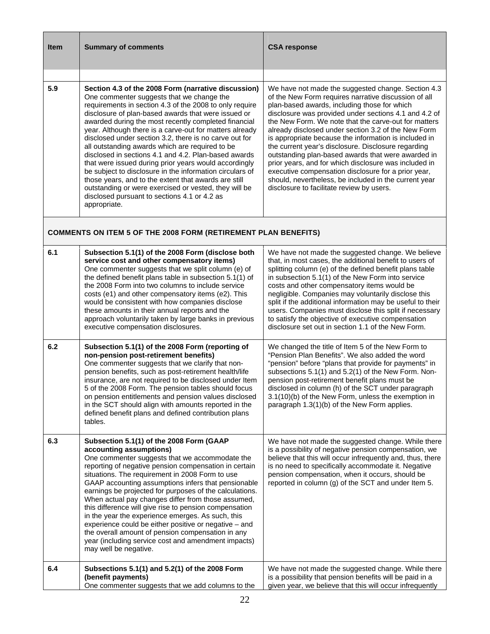| <b>Item</b> | <b>Summary of comments</b>                                                                                                                                                                                                                                                                                                                                                                                                                                                                                                                                                                                                                                                                                                                                                                                       | <b>CSA response</b>                                                                                                                                                                                                                                                                                                                                                                                                                                                                                                                                                                                                                                                                                                            |
|-------------|------------------------------------------------------------------------------------------------------------------------------------------------------------------------------------------------------------------------------------------------------------------------------------------------------------------------------------------------------------------------------------------------------------------------------------------------------------------------------------------------------------------------------------------------------------------------------------------------------------------------------------------------------------------------------------------------------------------------------------------------------------------------------------------------------------------|--------------------------------------------------------------------------------------------------------------------------------------------------------------------------------------------------------------------------------------------------------------------------------------------------------------------------------------------------------------------------------------------------------------------------------------------------------------------------------------------------------------------------------------------------------------------------------------------------------------------------------------------------------------------------------------------------------------------------------|
| 5.9         | Section 4.3 of the 2008 Form (narrative discussion)<br>One commenter suggests that we change the<br>requirements in section 4.3 of the 2008 to only require<br>disclosure of plan-based awards that were issued or<br>awarded during the most recently completed financial<br>year. Although there is a carve-out for matters already<br>disclosed under section 3.2, there is no carve out for<br>all outstanding awards which are required to be<br>disclosed in sections 4.1 and 4.2. Plan-based awards<br>that were issued during prior years would accordingly<br>be subject to disclosure in the information circulars of<br>those years, and to the extent that awards are still<br>outstanding or were exercised or vested, they will be<br>disclosed pursuant to sections 4.1 or 4.2 as<br>appropriate. | We have not made the suggested change. Section 4.3<br>of the New Form requires narrative discussion of all<br>plan-based awards, including those for which<br>disclosure was provided under sections 4.1 and 4.2 of<br>the New Form. We note that the carve-out for matters<br>already disclosed under section 3.2 of the New Form<br>is appropriate because the information is included in<br>the current year's disclosure. Disclosure regarding<br>outstanding plan-based awards that were awarded in<br>prior years, and for which disclosure was included in<br>executive compensation disclosure for a prior year,<br>should, nevertheless, be included in the current year<br>disclosure to facilitate review by users. |
|             | <b>COMMENTS ON ITEM 5 OF THE 2008 FORM (RETIREMENT PLAN BENEFITS)</b>                                                                                                                                                                                                                                                                                                                                                                                                                                                                                                                                                                                                                                                                                                                                            |                                                                                                                                                                                                                                                                                                                                                                                                                                                                                                                                                                                                                                                                                                                                |
| 6.1         | Subsection 5.1(1) of the 2008 Form (disclose both<br>service cost and other compensatory items)<br>One commenter suggests that we split column (e) of<br>the defined benefit plans table in subsection 5.1(1) of<br>the 2008 Form into two columns to include service<br>costs (e1) and other compensatory items (e2). This<br>would be consistent with how companies disclose<br>these amounts in their annual reports and the<br>approach voluntarily taken by large banks in previous<br>executive compensation disclosures.                                                                                                                                                                                                                                                                                  | We have not made the suggested change. We believe<br>that, in most cases, the additional benefit to users of<br>splitting column (e) of the defined benefit plans table<br>in subsection 5.1(1) of the New Form into service<br>costs and other compensatory items would be<br>negligible. Companies may voluntarily disclose this<br>split if the additional information may be useful to their<br>users. Companies must disclose this split if necessary<br>to satisfy the objective of executive compensation<br>disclosure set out in section 1.1 of the New Form.                                                                                                                                                         |
| 6.2         | Subsection 5.1(1) of the 2008 Form (reporting of<br>non-pension post-retirement benefits)<br>One commenter suggests that we clarify that non-<br>pension benefits, such as post-retirement health/life<br>insurance, are not required to be disclosed under Item<br>5 of the 2008 Form. The pension tables should focus<br>on pension entitlements and pension values disclosed<br>in the SCT should align with amounts reported in the<br>defined benefit plans and defined contribution plans<br>tables.                                                                                                                                                                                                                                                                                                       | We changed the title of Item 5 of the New Form to<br>"Pension Plan Benefits". We also added the word<br>"pension" before "plans that provide for payments" in<br>subsections 5.1(1) and 5.2(1) of the New Form. Non-<br>pension post-retirement benefit plans must be<br>disclosed in column (h) of the SCT under paragraph<br>3.1(10)(b) of the New Form, unless the exemption in<br>paragraph 1.3(1)(b) of the New Form applies.                                                                                                                                                                                                                                                                                             |
| 6.3         | Subsection 5.1(1) of the 2008 Form (GAAP<br>accounting assumptions)<br>One commenter suggests that we accommodate the<br>reporting of negative pension compensation in certain<br>situations. The requirement in 2008 Form to use<br>GAAP accounting assumptions infers that pensionable<br>earnings be projected for purposes of the calculations.<br>When actual pay changes differ from those assumed,<br>this difference will give rise to pension compensation<br>in the year the experience emerges. As such, this<br>experience could be either positive or negative - and<br>the overall amount of pension compensation in any<br>year (including service cost and amendment impacts)<br>may well be negative.                                                                                           | We have not made the suggested change. While there<br>is a possibility of negative pension compensation, we<br>believe that this will occur infrequently and, thus, there<br>is no need to specifically accommodate it. Negative<br>pension compensation, when it occurs, should be<br>reported in column (g) of the SCT and under Item 5.                                                                                                                                                                                                                                                                                                                                                                                     |
| 6.4         | Subsections 5.1(1) and 5.2(1) of the 2008 Form<br>(benefit payments)<br>One commenter suggests that we add columns to the                                                                                                                                                                                                                                                                                                                                                                                                                                                                                                                                                                                                                                                                                        | We have not made the suggested change. While there<br>is a possibility that pension benefits will be paid in a<br>given year, we believe that this will occur infrequently                                                                                                                                                                                                                                                                                                                                                                                                                                                                                                                                                     |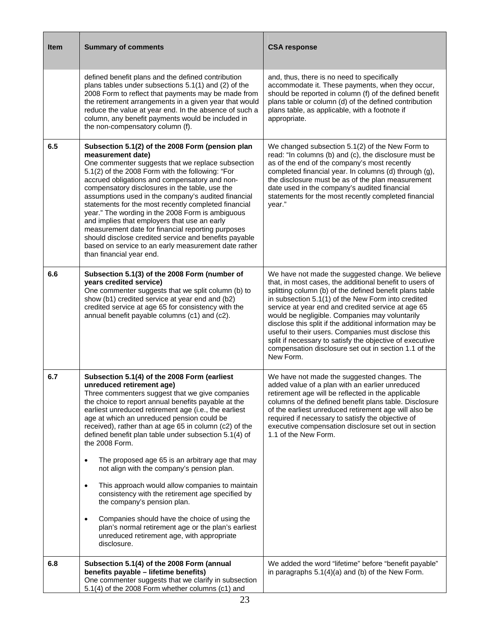| <b>Item</b> | <b>Summary of comments</b>                                                                                                                                                                                                                                                                                                                                                                                                                                                                                                                                                                                                                                                                                                                                                                                                                                                          | <b>CSA response</b>                                                                                                                                                                                                                                                                                                                                                                                                                                                                                                                                                                        |
|-------------|-------------------------------------------------------------------------------------------------------------------------------------------------------------------------------------------------------------------------------------------------------------------------------------------------------------------------------------------------------------------------------------------------------------------------------------------------------------------------------------------------------------------------------------------------------------------------------------------------------------------------------------------------------------------------------------------------------------------------------------------------------------------------------------------------------------------------------------------------------------------------------------|--------------------------------------------------------------------------------------------------------------------------------------------------------------------------------------------------------------------------------------------------------------------------------------------------------------------------------------------------------------------------------------------------------------------------------------------------------------------------------------------------------------------------------------------------------------------------------------------|
|             | defined benefit plans and the defined contribution<br>plans tables under subsections 5.1(1) and (2) of the<br>2008 Form to reflect that payments may be made from<br>the retirement arrangements in a given year that would<br>reduce the value at year end. In the absence of such a<br>column, any benefit payments would be included in<br>the non-compensatory column (f).                                                                                                                                                                                                                                                                                                                                                                                                                                                                                                      | and, thus, there is no need to specifically<br>accommodate it. These payments, when they occur,<br>should be reported in column (f) of the defined benefit<br>plans table or column (d) of the defined contribution<br>plans table, as applicable, with a footnote if<br>appropriate.                                                                                                                                                                                                                                                                                                      |
| 6.5         | Subsection 5.1(2) of the 2008 Form (pension plan<br>measurement date)<br>One commenter suggests that we replace subsection<br>5.1(2) of the 2008 Form with the following: "For<br>accrued obligations and compensatory and non-<br>compensatory disclosures in the table, use the<br>assumptions used in the company's audited financial<br>statements for the most recently completed financial<br>year." The wording in the 2008 Form is ambiguous<br>and implies that employers that use an early<br>measurement date for financial reporting purposes<br>should disclose credited service and benefits payable<br>based on service to an early measurement date rather<br>than financial year end.                                                                                                                                                                              | We changed subsection 5.1(2) of the New Form to<br>read: "In columns (b) and (c), the disclosure must be<br>as of the end of the company's most recently<br>completed financial year. In columns (d) through (g),<br>the disclosure must be as of the plan measurement<br>date used in the company's audited financial<br>statements for the most recently completed financial<br>year."                                                                                                                                                                                                   |
| 6.6         | Subsection 5.1(3) of the 2008 Form (number of<br>years credited service)<br>One commenter suggests that we split column (b) to<br>show (b1) credited service at year end and (b2)<br>credited service at age 65 for consistency with the<br>annual benefit payable columns (c1) and (c2).                                                                                                                                                                                                                                                                                                                                                                                                                                                                                                                                                                                           | We have not made the suggested change. We believe<br>that, in most cases, the additional benefit to users of<br>splitting column (b) of the defined benefit plans table<br>in subsection 5.1(1) of the New Form into credited<br>service at year end and credited service at age 65<br>would be negligible. Companies may voluntarily<br>disclose this split if the additional information may be<br>useful to their users. Companies must disclose this<br>split if necessary to satisfy the objective of executive<br>compensation disclosure set out in section 1.1 of the<br>New Form. |
| 6.7         | Subsection 5.1(4) of the 2008 Form (earliest<br>unreduced retirement age)<br>Three commenters suggest that we give companies<br>the choice to report annual benefits payable at the<br>earliest unreduced retirement age (i.e., the earliest<br>age at which an unreduced pension could be<br>received), rather than at age 65 in column (c2) of the<br>defined benefit plan table under subsection 5.1(4) of<br>the 2008 Form.<br>The proposed age 65 is an arbitrary age that may<br>$\bullet$<br>not align with the company's pension plan.<br>This approach would allow companies to maintain<br>$\bullet$<br>consistency with the retirement age specified by<br>the company's pension plan.<br>Companies should have the choice of using the<br>$\bullet$<br>plan's normal retirement age or the plan's earliest<br>unreduced retirement age, with appropriate<br>disclosure. | We have not made the suggested changes. The<br>added value of a plan with an earlier unreduced<br>retirement age will be reflected in the applicable<br>columns of the defined benefit plans table. Disclosure<br>of the earliest unreduced retirement age will also be<br>required if necessary to satisfy the objective of<br>executive compensation disclosure set out in section<br>1.1 of the New Form.                                                                                                                                                                               |
| 6.8         | Subsection 5.1(4) of the 2008 Form (annual<br>benefits payable - lifetime benefits)<br>One commenter suggests that we clarify in subsection<br>5.1(4) of the 2008 Form whether columns (c1) and                                                                                                                                                                                                                                                                                                                                                                                                                                                                                                                                                                                                                                                                                     | We added the word "lifetime" before "benefit payable"<br>in paragraphs $5.1(4)(a)$ and (b) of the New Form.                                                                                                                                                                                                                                                                                                                                                                                                                                                                                |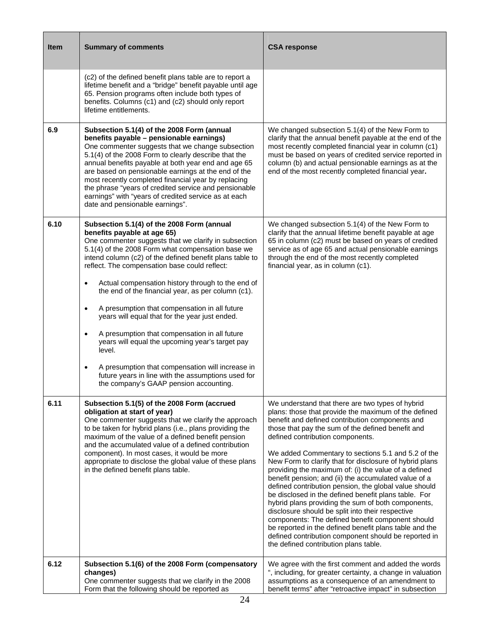| <b>Item</b> | <b>Summary of comments</b>                                                                                                                                                                                                                                                                                                                                                                                                                                                                                                                                                                                                                                                                                                                                                                                                 | <b>CSA response</b>                                                                                                                                                                                                                                                                                                                                                                                                                                                                                                                                                                                                                                                                                                                                                                                                                                                                                                             |
|-------------|----------------------------------------------------------------------------------------------------------------------------------------------------------------------------------------------------------------------------------------------------------------------------------------------------------------------------------------------------------------------------------------------------------------------------------------------------------------------------------------------------------------------------------------------------------------------------------------------------------------------------------------------------------------------------------------------------------------------------------------------------------------------------------------------------------------------------|---------------------------------------------------------------------------------------------------------------------------------------------------------------------------------------------------------------------------------------------------------------------------------------------------------------------------------------------------------------------------------------------------------------------------------------------------------------------------------------------------------------------------------------------------------------------------------------------------------------------------------------------------------------------------------------------------------------------------------------------------------------------------------------------------------------------------------------------------------------------------------------------------------------------------------|
|             | (c2) of the defined benefit plans table are to report a<br>lifetime benefit and a "bridge" benefit payable until age<br>65. Pension programs often include both types of<br>benefits. Columns (c1) and (c2) should only report<br>lifetime entitlements.                                                                                                                                                                                                                                                                                                                                                                                                                                                                                                                                                                   |                                                                                                                                                                                                                                                                                                                                                                                                                                                                                                                                                                                                                                                                                                                                                                                                                                                                                                                                 |
| 6.9         | Subsection 5.1(4) of the 2008 Form (annual<br>benefits payable - pensionable earnings)<br>One commenter suggests that we change subsection<br>5.1(4) of the 2008 Form to clearly describe that the<br>annual benefits payable at both year end and age 65<br>are based on pensionable earnings at the end of the<br>most recently completed financial year by replacing<br>the phrase "years of credited service and pensionable<br>earnings" with "years of credited service as at each<br>date and pensionable earnings".                                                                                                                                                                                                                                                                                                | We changed subsection 5.1(4) of the New Form to<br>clarify that the annual benefit payable at the end of the<br>most recently completed financial year in column (c1)<br>must be based on years of credited service reported in<br>column (b) and actual pensionable earnings as at the<br>end of the most recently completed financial year.                                                                                                                                                                                                                                                                                                                                                                                                                                                                                                                                                                                   |
| 6.10        | Subsection 5.1(4) of the 2008 Form (annual<br>benefits payable at age 65)<br>One commenter suggests that we clarify in subsection<br>5.1(4) of the 2008 Form what compensation base we<br>intend column (c2) of the defined benefit plans table to<br>reflect. The compensation base could reflect:<br>Actual compensation history through to the end of<br>the end of the financial year, as per column (c1).<br>A presumption that compensation in all future<br>$\bullet$<br>years will equal that for the year just ended.<br>A presumption that compensation in all future<br>$\bullet$<br>years will equal the upcoming year's target pay<br>level.<br>A presumption that compensation will increase in<br>$\bullet$<br>future years in line with the assumptions used for<br>the company's GAAP pension accounting. | We changed subsection 5.1(4) of the New Form to<br>clarify that the annual lifetime benefit payable at age<br>65 in column (c2) must be based on years of credited<br>service as of age 65 and actual pensionable earnings<br>through the end of the most recently completed<br>financial year, as in column (c1).                                                                                                                                                                                                                                                                                                                                                                                                                                                                                                                                                                                                              |
| 6.11        | Subsection 5.1(5) of the 2008 Form (accrued<br>obligation at start of year)<br>One commenter suggests that we clarify the approach<br>to be taken for hybrid plans (i.e., plans providing the<br>maximum of the value of a defined benefit pension<br>and the accumulated value of a defined contribution<br>component). In most cases, it would be more<br>appropriate to disclose the global value of these plans<br>in the defined benefit plans table.                                                                                                                                                                                                                                                                                                                                                                 | We understand that there are two types of hybrid<br>plans: those that provide the maximum of the defined<br>benefit and defined contribution components and<br>those that pay the sum of the defined benefit and<br>defined contribution components.<br>We added Commentary to sections 5.1 and 5.2 of the<br>New Form to clarify that for disclosure of hybrid plans<br>providing the maximum of: (i) the value of a defined<br>benefit pension; and (ii) the accumulated value of a<br>defined contribution pension, the global value should<br>be disclosed in the defined benefit plans table. For<br>hybrid plans providing the sum of both components,<br>disclosure should be split into their respective<br>components: The defined benefit component should<br>be reported in the defined benefit plans table and the<br>defined contribution component should be reported in<br>the defined contribution plans table. |
| 6.12        | Subsection 5.1(6) of the 2008 Form (compensatory<br>changes)<br>One commenter suggests that we clarify in the 2008<br>Form that the following should be reported as                                                                                                                                                                                                                                                                                                                                                                                                                                                                                                                                                                                                                                                        | We agree with the first comment and added the words<br>", including, for greater certainty, a change in valuation<br>assumptions as a consequence of an amendment to<br>benefit terms" after "retroactive impact" in subsection                                                                                                                                                                                                                                                                                                                                                                                                                                                                                                                                                                                                                                                                                                 |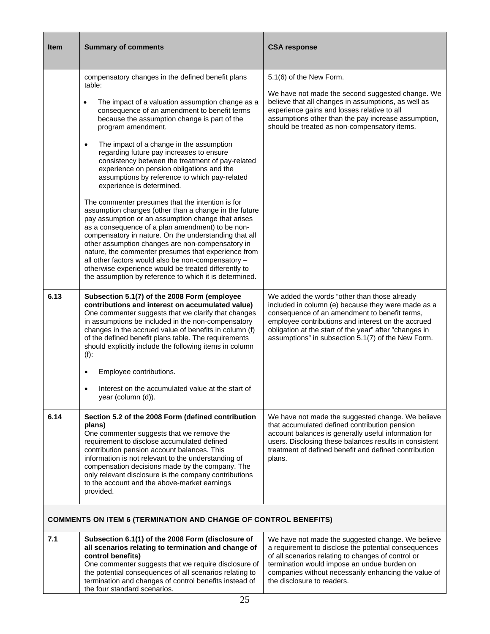| <b>Item</b>                                                            | <b>Summary of comments</b>                                                                                                                                                                                                                                                                                                                                                                                                                                                                                                                                                                   | <b>CSA response</b>                                                                                                                                                                                                                                                                                                       |  |  |
|------------------------------------------------------------------------|----------------------------------------------------------------------------------------------------------------------------------------------------------------------------------------------------------------------------------------------------------------------------------------------------------------------------------------------------------------------------------------------------------------------------------------------------------------------------------------------------------------------------------------------------------------------------------------------|---------------------------------------------------------------------------------------------------------------------------------------------------------------------------------------------------------------------------------------------------------------------------------------------------------------------------|--|--|
|                                                                        | compensatory changes in the defined benefit plans<br>table:<br>The impact of a valuation assumption change as a<br>$\bullet$<br>consequence of an amendment to benefit terms<br>because the assumption change is part of the<br>program amendment.<br>The impact of a change in the assumption<br>$\bullet$<br>regarding future pay increases to ensure<br>consistency between the treatment of pay-related<br>experience on pension obligations and the<br>assumptions by reference to which pay-related                                                                                    | 5.1(6) of the New Form.<br>We have not made the second suggested change. We<br>believe that all changes in assumptions, as well as<br>experience gains and losses relative to all<br>assumptions other than the pay increase assumption,<br>should be treated as non-compensatory items.                                  |  |  |
|                                                                        | experience is determined.<br>The commenter presumes that the intention is for<br>assumption changes (other than a change in the future<br>pay assumption or an assumption change that arises<br>as a consequence of a plan amendment) to be non-<br>compensatory in nature. On the understanding that all<br>other assumption changes are non-compensatory in<br>nature, the commenter presumes that experience from<br>all other factors would also be non-compensatory -<br>otherwise experience would be treated differently to<br>the assumption by reference to which it is determined. |                                                                                                                                                                                                                                                                                                                           |  |  |
| 6.13                                                                   | Subsection 5.1(7) of the 2008 Form (employee<br>contributions and interest on accumulated value)<br>One commenter suggests that we clarify that changes<br>in assumptions be included in the non-compensatory<br>changes in the accrued value of benefits in column (f)<br>of the defined benefit plans table. The requirements<br>should explicitly include the following items in column<br>$(f)$ :<br>Employee contributions.                                                                                                                                                             | We added the words "other than those already<br>included in column (e) because they were made as a<br>consequence of an amendment to benefit terms,<br>employee contributions and interest on the accrued<br>obligation at the start of the year" after "changes in<br>assumptions" in subsection 5.1(7) of the New Form. |  |  |
|                                                                        | Interest on the accumulated value at the start of<br>year (column (d)).                                                                                                                                                                                                                                                                                                                                                                                                                                                                                                                      |                                                                                                                                                                                                                                                                                                                           |  |  |
| 6.14                                                                   | Section 5.2 of the 2008 Form (defined contribution<br>plans)<br>One commenter suggests that we remove the<br>requirement to disclose accumulated defined<br>contribution pension account balances. This<br>information is not relevant to the understanding of<br>compensation decisions made by the company. The<br>only relevant disclosure is the company contributions<br>to the account and the above-market earnings<br>provided.                                                                                                                                                      | We have not made the suggested change. We believe<br>that accumulated defined contribution pension<br>account balances is generally useful information for<br>users. Disclosing these balances results in consistent<br>treatment of defined benefit and defined contribution<br>plans.                                   |  |  |
| <b>COMMENTS ON ITEM 6 (TERMINATION AND CHANGE OF CONTROL BENEFITS)</b> |                                                                                                                                                                                                                                                                                                                                                                                                                                                                                                                                                                                              |                                                                                                                                                                                                                                                                                                                           |  |  |
| 7.1                                                                    | Subsection 6.1(1) of the 2008 Form (disclosure of<br>all scenarios relating to termination and change of<br>control benefits)<br>One commenter suggests that we require disclosure of<br>the potential consequences of all scenarios relating to<br>termination and changes of control benefits instead of<br>the four standard scenarios.                                                                                                                                                                                                                                                   | We have not made the suggested change. We believe<br>a requirement to disclose the potential consequences<br>of all scenarios relating to changes of control or<br>termination would impose an undue burden on<br>companies without necessarily enhancing the value of<br>the disclosure to readers.                      |  |  |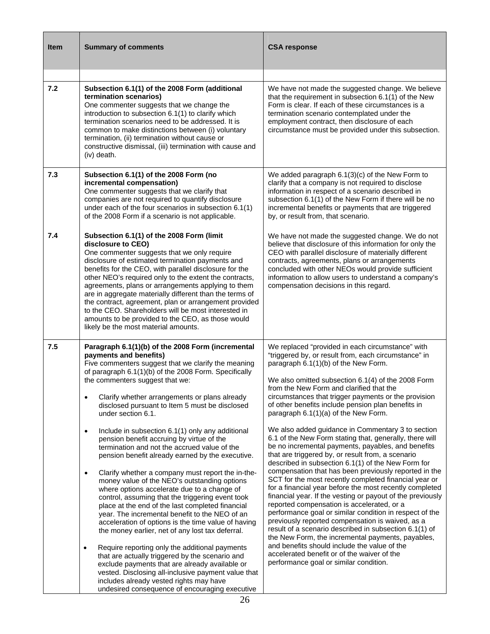| <b>Item</b> | <b>Summary of comments</b>                                                                                                                                                                                                                                                                                                                                                                                                                                                                                                                                                                                                                                                                                                                                                                                                                                                                                                                                                                                                                                                                                                                                                                                                                                                                                                                           | <b>CSA response</b>                                                                                                                                                                                                                                                                                                                                                                                                                                                                                                                                                                                                                                                                                                                                                                                                                                                                                                                                                                                                                                                                                                                                                                                                                                                                                                                                       |
|-------------|------------------------------------------------------------------------------------------------------------------------------------------------------------------------------------------------------------------------------------------------------------------------------------------------------------------------------------------------------------------------------------------------------------------------------------------------------------------------------------------------------------------------------------------------------------------------------------------------------------------------------------------------------------------------------------------------------------------------------------------------------------------------------------------------------------------------------------------------------------------------------------------------------------------------------------------------------------------------------------------------------------------------------------------------------------------------------------------------------------------------------------------------------------------------------------------------------------------------------------------------------------------------------------------------------------------------------------------------------|-----------------------------------------------------------------------------------------------------------------------------------------------------------------------------------------------------------------------------------------------------------------------------------------------------------------------------------------------------------------------------------------------------------------------------------------------------------------------------------------------------------------------------------------------------------------------------------------------------------------------------------------------------------------------------------------------------------------------------------------------------------------------------------------------------------------------------------------------------------------------------------------------------------------------------------------------------------------------------------------------------------------------------------------------------------------------------------------------------------------------------------------------------------------------------------------------------------------------------------------------------------------------------------------------------------------------------------------------------------|
| 7.2         | Subsection 6.1(1) of the 2008 Form (additional<br>termination scenarios)<br>One commenter suggests that we change the<br>introduction to subsection 6.1(1) to clarify which<br>termination scenarios need to be addressed. It is<br>common to make distinctions between (i) voluntary<br>termination, (ii) termination without cause or<br>constructive dismissal, (iii) termination with cause and<br>(iv) death.                                                                                                                                                                                                                                                                                                                                                                                                                                                                                                                                                                                                                                                                                                                                                                                                                                                                                                                                   | We have not made the suggested change. We believe<br>that the requirement in subsection 6.1(1) of the New<br>Form is clear. If each of these circumstances is a<br>termination scenario contemplated under the<br>employment contract, then disclosure of each<br>circumstance must be provided under this subsection.                                                                                                                                                                                                                                                                                                                                                                                                                                                                                                                                                                                                                                                                                                                                                                                                                                                                                                                                                                                                                                    |
| 7.3         | Subsection 6.1(1) of the 2008 Form (no<br>incremental compensation)<br>One commenter suggests that we clarify that<br>companies are not required to quantify disclosure<br>under each of the four scenarios in subsection 6.1(1)<br>of the 2008 Form if a scenario is not applicable.                                                                                                                                                                                                                                                                                                                                                                                                                                                                                                                                                                                                                                                                                                                                                                                                                                                                                                                                                                                                                                                                | We added paragraph $6.1(3)(c)$ of the New Form to<br>clarify that a company is not required to disclose<br>information in respect of a scenario described in<br>subsection 6.1(1) of the New Form if there will be no<br>incremental benefits or payments that are triggered<br>by, or result from, that scenario.                                                                                                                                                                                                                                                                                                                                                                                                                                                                                                                                                                                                                                                                                                                                                                                                                                                                                                                                                                                                                                        |
| 7.4         | Subsection 6.1(1) of the 2008 Form (limit<br>disclosure to CEO)<br>One commenter suggests that we only require<br>disclosure of estimated termination payments and<br>benefits for the CEO, with parallel disclosure for the<br>other NEO's required only to the extent the contracts,<br>agreements, plans or arrangements applying to them<br>are in aggregate materially different than the terms of<br>the contract, agreement, plan or arrangement provided<br>to the CEO. Shareholders will be most interested in<br>amounts to be provided to the CEO, as those would<br>likely be the most material amounts.                                                                                                                                                                                                                                                                                                                                                                                                                                                                                                                                                                                                                                                                                                                                 | We have not made the suggested change. We do not<br>believe that disclosure of this information for only the<br>CEO with parallel disclosure of materially different<br>contracts, agreements, plans or arrangements<br>concluded with other NEOs would provide sufficient<br>information to allow users to understand a company's<br>compensation decisions in this regard.                                                                                                                                                                                                                                                                                                                                                                                                                                                                                                                                                                                                                                                                                                                                                                                                                                                                                                                                                                              |
| 7.5         | Paragraph 6.1(1)(b) of the 2008 Form (incremental<br>payments and benefits)<br>Five commenters suggest that we clarify the meaning<br>of paragraph 6.1(1)(b) of the 2008 Form. Specifically<br>the commenters suggest that we:<br>Clarify whether arrangements or plans already<br>$\bullet$<br>disclosed pursuant to Item 5 must be disclosed<br>under section 6.1.<br>Include in subsection 6.1(1) only any additional<br>$\bullet$<br>pension benefit accruing by virtue of the<br>termination and not the accrued value of the<br>pension benefit already earned by the executive.<br>Clarify whether a company must report the in-the-<br>$\bullet$<br>money value of the NEO's outstanding options<br>where options accelerate due to a change of<br>control, assuming that the triggering event took<br>place at the end of the last completed financial<br>year. The incremental benefit to the NEO of an<br>acceleration of options is the time value of having<br>the money earlier, net of any lost tax deferral.<br>Require reporting only the additional payments<br>$\bullet$<br>that are actually triggered by the scenario and<br>exclude payments that are already available or<br>vested. Disclosing all-inclusive payment value that<br>includes already vested rights may have<br>undesired consequence of encouraging executive | We replaced "provided in each circumstance" with<br>"triggered by, or result from, each circumstance" in<br>paragraph 6.1(1)(b) of the New Form.<br>We also omitted subsection 6.1(4) of the 2008 Form<br>from the New Form and clarified that the<br>circumstances that trigger payments or the provision<br>of other benefits include pension plan benefits in<br>paragraph 6.1(1)(a) of the New Form.<br>We also added guidance in Commentary 3 to section<br>6.1 of the New Form stating that, generally, there will<br>be no incremental payments, payables, and benefits<br>that are triggered by, or result from, a scenario<br>described in subsection 6.1(1) of the New Form for<br>compensation that has been previously reported in the<br>SCT for the most recently completed financial year or<br>for a financial year before the most recently completed<br>financial year. If the vesting or payout of the previously<br>reported compensation is accelerated, or a<br>performance goal or similar condition in respect of the<br>previously reported compensation is waived, as a<br>result of a scenario described in subsection 6.1(1) of<br>the New Form, the incremental payments, payables,<br>and benefits should include the value of the<br>accelerated benefit or of the waiver of the<br>performance goal or similar condition. |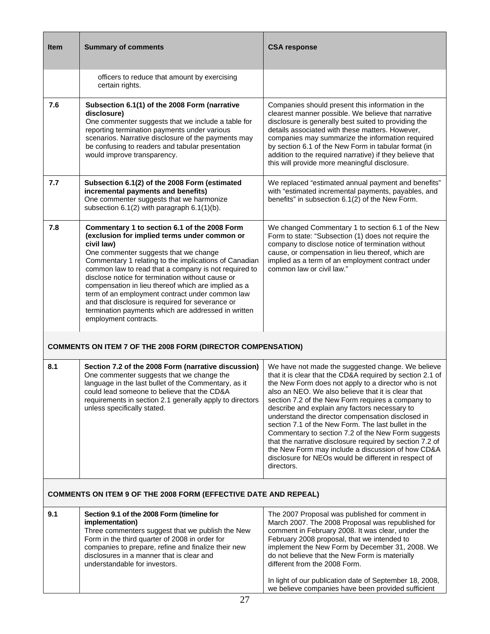| <b>Item</b>                                                            | <b>Summary of comments</b>                                                                                                                                                                                                                                                                                                                                                                                                                                                                                                                                             | <b>CSA response</b>                                                                                                                                                                                                                                                                                                                                                                                                                                                                                                                                                                                                                                                                         |  |  |  |
|------------------------------------------------------------------------|------------------------------------------------------------------------------------------------------------------------------------------------------------------------------------------------------------------------------------------------------------------------------------------------------------------------------------------------------------------------------------------------------------------------------------------------------------------------------------------------------------------------------------------------------------------------|---------------------------------------------------------------------------------------------------------------------------------------------------------------------------------------------------------------------------------------------------------------------------------------------------------------------------------------------------------------------------------------------------------------------------------------------------------------------------------------------------------------------------------------------------------------------------------------------------------------------------------------------------------------------------------------------|--|--|--|
|                                                                        | officers to reduce that amount by exercising<br>certain rights.                                                                                                                                                                                                                                                                                                                                                                                                                                                                                                        |                                                                                                                                                                                                                                                                                                                                                                                                                                                                                                                                                                                                                                                                                             |  |  |  |
| 7.6                                                                    | Subsection 6.1(1) of the 2008 Form (narrative<br>disclosure)<br>One commenter suggests that we include a table for<br>reporting termination payments under various<br>scenarios. Narrative disclosure of the payments may<br>be confusing to readers and tabular presentation<br>would improve transparency.                                                                                                                                                                                                                                                           | Companies should present this information in the<br>clearest manner possible. We believe that narrative<br>disclosure is generally best suited to providing the<br>details associated with these matters. However,<br>companies may summarize the information required<br>by section 6.1 of the New Form in tabular format (in<br>addition to the required narrative) if they believe that<br>this will provide more meaningful disclosure.                                                                                                                                                                                                                                                 |  |  |  |
| 7.7                                                                    | Subsection 6.1(2) of the 2008 Form (estimated<br>incremental payments and benefits)<br>One commenter suggests that we harmonize<br>subsection 6.1(2) with paragraph 6.1(1)(b).                                                                                                                                                                                                                                                                                                                                                                                         | We replaced "estimated annual payment and benefits"<br>with "estimated incremental payments, payables, and<br>benefits" in subsection 6.1(2) of the New Form.                                                                                                                                                                                                                                                                                                                                                                                                                                                                                                                               |  |  |  |
| 7.8                                                                    | Commentary 1 to section 6.1 of the 2008 Form<br>(exclusion for implied terms under common or<br>civil law)<br>One commenter suggests that we change<br>Commentary 1 relating to the implications of Canadian<br>common law to read that a company is not required to<br>disclose notice for termination without cause or<br>compensation in lieu thereof which are implied as a<br>term of an employment contract under common law<br>and that disclosure is required for severance or<br>termination payments which are addressed in written<br>employment contracts. | We changed Commentary 1 to section 6.1 of the New<br>Form to state: "Subsection (1) does not require the<br>company to disclose notice of termination without<br>cause, or compensation in lieu thereof, which are<br>implied as a term of an employment contract under<br>common law or civil law."                                                                                                                                                                                                                                                                                                                                                                                        |  |  |  |
|                                                                        | <b>COMMENTS ON ITEM 7 OF THE 2008 FORM (DIRECTOR COMPENSATION)</b>                                                                                                                                                                                                                                                                                                                                                                                                                                                                                                     |                                                                                                                                                                                                                                                                                                                                                                                                                                                                                                                                                                                                                                                                                             |  |  |  |
| 8.1                                                                    | Section 7.2 of the 2008 Form (narrative discussion)<br>One commenter suggests that we change the<br>language in the last bullet of the Commentary, as it<br>could lead someone to believe that the CD&A<br>requirements in section 2.1 generally apply to directors<br>unless specifically stated.                                                                                                                                                                                                                                                                     | We have not made the suggested change. We believe<br>that it is clear that the CD&A required by section 2.1 of<br>the New Form does not apply to a director who is not<br>also an NEO. We also believe that it is clear that<br>section 7.2 of the New Form requires a company to<br>describe and explain any factors necessary to<br>understand the director compensation disclosed in<br>section 7.1 of the New Form. The last bullet in the<br>Commentary to section 7.2 of the New Form suggests<br>that the narrative disclosure required by section 7.2 of<br>the New Form may include a discussion of how CD&A<br>disclosure for NEOs would be different in respect of<br>directors. |  |  |  |
| <b>COMMENTS ON ITEM 9 OF THE 2008 FORM (EFFECTIVE DATE AND REPEAL)</b> |                                                                                                                                                                                                                                                                                                                                                                                                                                                                                                                                                                        |                                                                                                                                                                                                                                                                                                                                                                                                                                                                                                                                                                                                                                                                                             |  |  |  |
| 9.1                                                                    | Section 9.1 of the 2008 Form (timeline for<br>implementation)<br>Three commenters suggest that we publish the New<br>Form in the third quarter of 2008 in order for<br>companies to prepare, refine and finalize their new<br>disclosures in a manner that is clear and<br>understandable for investors.                                                                                                                                                                                                                                                               | The 2007 Proposal was published for comment in<br>March 2007. The 2008 Proposal was republished for<br>comment in February 2008. It was clear, under the<br>February 2008 proposal, that we intended to<br>implement the New Form by December 31, 2008. We<br>do not believe that the New Form is materially<br>different from the 2008 Form.<br>In light of our publication date of September 18, 2008,<br>we believe companies have been provided sufficient                                                                                                                                                                                                                              |  |  |  |